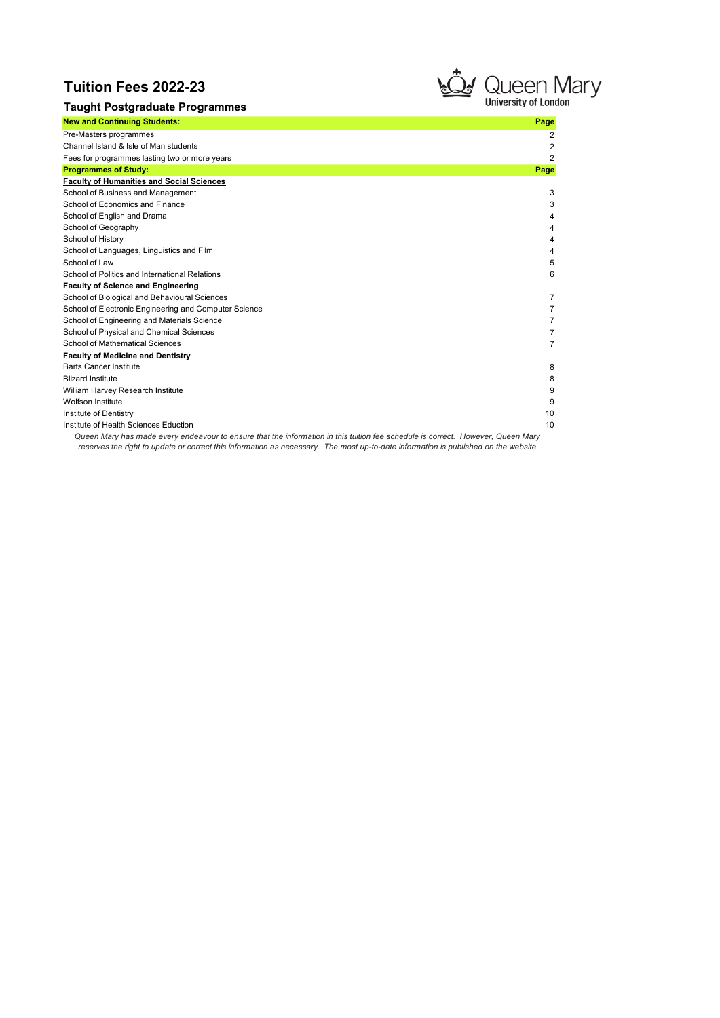# Tuition Fees 2022-23

Institute of Dentistry

Institute of Health Sciences Eduction



2 2 2

|                                                       | تعصيت | uuvu 1                    |
|-------------------------------------------------------|-------|---------------------------|
| <b>Taught Postgraduate Programmes</b>                 |       | <b>University of Long</b> |
| <b>New and Continuing Students:</b>                   |       | Page                      |
| Pre-Masters programmes                                |       | 2                         |
| Channel Island & Isle of Man students                 |       | 2                         |
| Fees for programmes lasting two or more years         |       | 2                         |
| <b>Programmes of Study:</b>                           |       | Page                      |
| <b>Faculty of Humanities and Social Sciences</b>      |       |                           |
| School of Business and Management                     |       | 3                         |
| School of Economics and Finance                       |       | 3                         |
| School of English and Drama                           |       | 4                         |
| School of Geography                                   |       |                           |
| School of History                                     |       |                           |
| School of Languages, Linguistics and Film             |       | 4                         |
| School of Law                                         |       | 5                         |
| School of Politics and International Relations        |       | 6                         |
| <b>Faculty of Science and Engineering</b>             |       |                           |
| School of Biological and Behavioural Sciences         |       | 7                         |
| School of Electronic Engineering and Computer Science |       | $\overline{7}$            |
| School of Engineering and Materials Science           |       | 7                         |
| School of Physical and Chemical Sciences              |       | 7                         |
| School of Mathematical Sciences                       |       | $\overline{7}$            |
| <b>Faculty of Medicine and Dentistry</b>              |       |                           |
| <b>Barts Cancer Institute</b>                         |       | 8                         |
| <b>Blizard Institute</b>                              |       | 8                         |
| William Harvey Research Institute                     |       | 9                         |
| Wolfson Institute                                     |       | 9                         |

Queen Mary has made every endeavour to ensure that the information in this tuition fee schedule is correct. However, Queen Mary reserves the right to update or correct this information as necessary. The most up-to-date information is published on the website.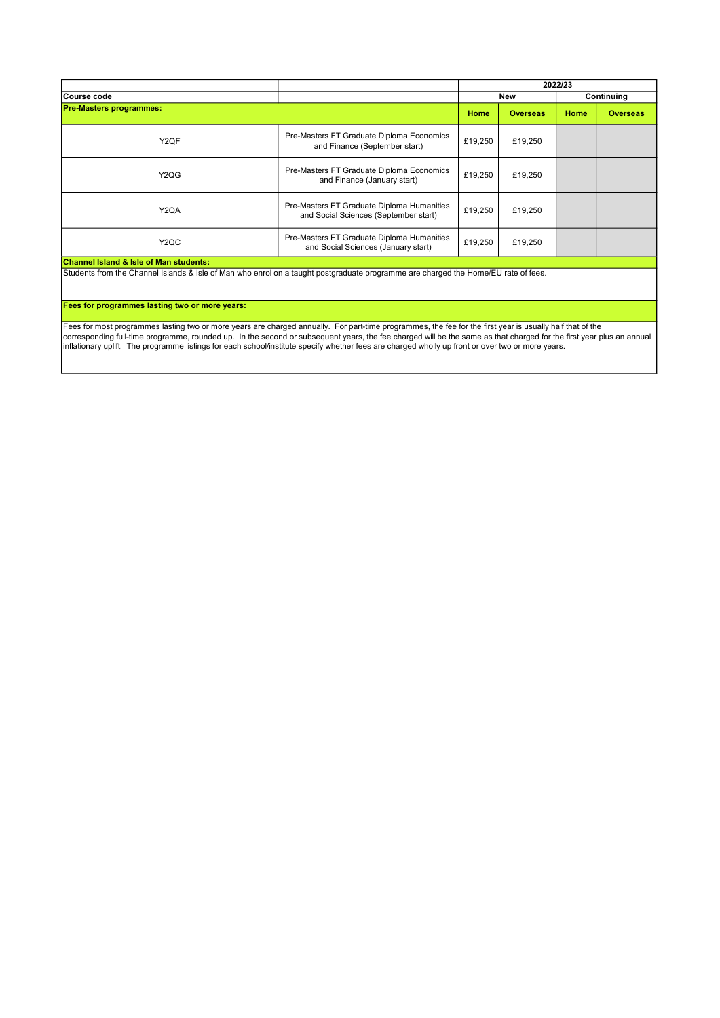|                                                   |                                                                                     | 2022/23 |                 |      |                 |
|---------------------------------------------------|-------------------------------------------------------------------------------------|---------|-----------------|------|-----------------|
| Course code                                       |                                                                                     |         | New             |      | Continuing      |
| <b>Pre-Masters programmes:</b>                    |                                                                                     | Home    | <b>Overseas</b> | Home | <b>Overseas</b> |
| Y <sub>2</sub> QF                                 | Pre-Masters FT Graduate Diploma Economics<br>and Finance (September start)          | £19,250 | £19,250         |      |                 |
| Y <sub>2</sub> Q <sub>G</sub>                     | Pre-Masters FT Graduate Diploma Economics<br>and Finance (January start)            | £19,250 | £19,250         |      |                 |
| Y <sub>2</sub> QA                                 | Pre-Masters FT Graduate Diploma Humanities<br>and Social Sciences (September start) | £19,250 | £19,250         |      |                 |
| Y <sub>2</sub> QC                                 | Pre-Masters FT Graduate Diploma Humanities<br>and Social Sciences (January start)   | £19,250 | £19,250         |      |                 |
| <b>Channel Island &amp; Isle of Man students:</b> |                                                                                     |         |                 |      |                 |

Students from the Channel Islands & Isle of Man who enrol on a taught postgraduate programme are charged the Home/EU rate of fees.

#### Fees for programmes lasting two or more years:

Fees for most programmes lasting two or more years are charged annually. For part-time programmes, the fee for the first year is usually half that of the corresponding full-time programme, rounded up. In the second or subsequent years, the fee charged will be the same as that charged for the first year plus an annual inflationary uplift. The programme listings for each school/institute specify whether fees are charged wholly up front or over two or more years.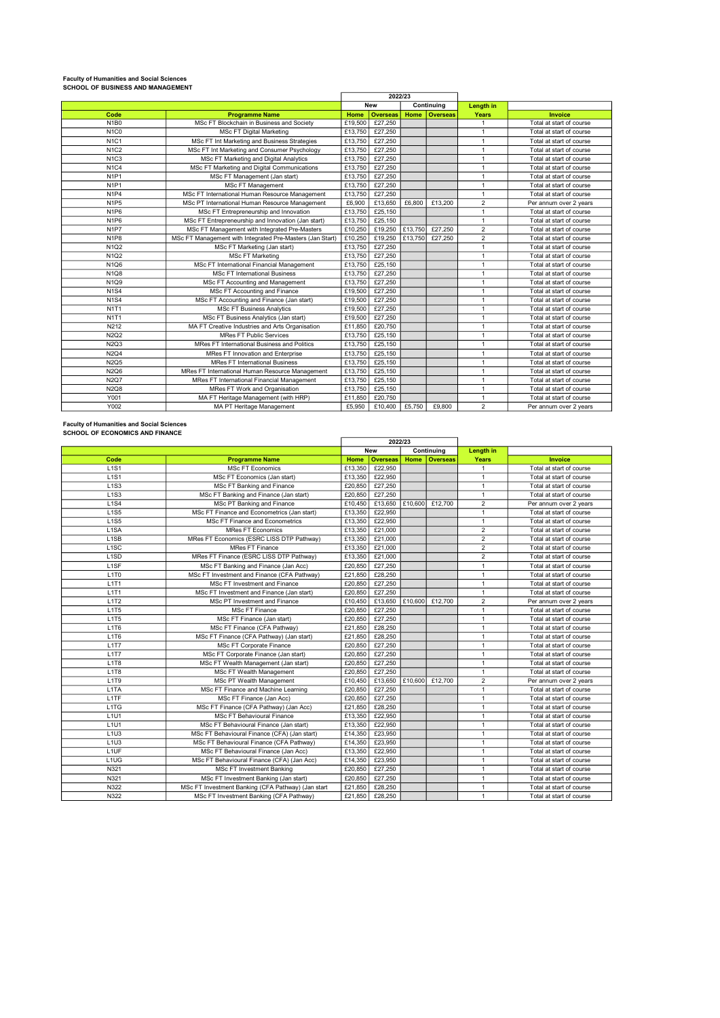# Faculty of Humanities and Social Sciences SCHOOL OF BUSINESS AND MANAGEMENT

|                               |                                                           | 2022/23 |                 |         |                 |                |                          |
|-------------------------------|-----------------------------------------------------------|---------|-----------------|---------|-----------------|----------------|--------------------------|
|                               |                                                           |         | <b>New</b>      |         | Continuing      | Length in      |                          |
| Code                          | <b>Programme Name</b>                                     | Home    | <b>Overseas</b> | Home    | <b>Overseas</b> | Years          | Invoice                  |
| N <sub>1</sub> B <sub>0</sub> | MSc FT Blockchain in Business and Society                 | £19,500 | £27,250         |         |                 | $\mathbf{1}$   | Total at start of course |
| N <sub>1</sub> C <sub>0</sub> | <b>MSc FT Digital Marketing</b>                           | £13,750 | £27,250         |         |                 | $\mathbf{1}$   | Total at start of course |
| <b>N1C1</b>                   | MSc FT Int Marketing and Business Strategies              | £13,750 | £27,250         |         |                 | $\mathbf{1}$   | Total at start of course |
| N1C2                          | MSc FT Int Marketing and Consumer Psychology              | £13,750 | £27,250         |         |                 | $\mathbf{1}$   | Total at start of course |
| N <sub>1C3</sub>              | MSc FT Marketing and Digital Analytics                    | £13,750 | £27,250         |         |                 | $\mathbf{1}$   | Total at start of course |
| <b>N1C4</b>                   | MSc FT Marketing and Digital Communications               | £13,750 | £27,250         |         |                 | $\mathbf{1}$   | Total at start of course |
| N <sub>1P1</sub>              | MSc FT Management (Jan start)                             | £13,750 | E27,250         |         |                 | $\overline{1}$ | Total at start of course |
| N <sub>1</sub> P <sub>1</sub> | MSc FT Management                                         | £13,750 | £27,250         |         |                 | $\mathbf{1}$   | Total at start of course |
| N <sub>1P4</sub>              | MSc FT International Human Resource Management            | £13,750 | £27,250         |         |                 | $\mathbf{1}$   | Total at start of course |
| N <sub>1P5</sub>              | MSc PT International Human Resource Management            | £6,900  | £13.650         | £6,800  | £13,200         | $\overline{2}$ | Per annum over 2 years   |
| N <sub>1P6</sub>              | MSc FT Entrepreneurship and Innovation                    | £13,750 | £25,150         |         |                 | $\mathbf{1}$   | Total at start of course |
| N <sub>1P6</sub>              | MSc FT Entrepreneurship and Innovation (Jan start)        | £13,750 | £25,150         |         |                 | $\mathbf{1}$   | Total at start of course |
| N <sub>1</sub> P <sub>7</sub> | MSc FT Management with Integrated Pre-Masters             | £10,250 | £19,250         | £13,750 | £27,250         | $\overline{2}$ | Total at start of course |
| N <sub>1P</sub> 8             | MSc FT Management with Integrated Pre-Masters (Jan Start) | £10,250 | £19,250         | £13,750 | £27,250         | $\overline{2}$ | Total at start of course |
| N1Q2                          | MSc FT Marketing (Jan start)                              | £13,750 | £27,250         |         |                 | $\mathbf{1}$   | Total at start of course |
| N <sub>1</sub> Q <sub>2</sub> | <b>MSc FT Marketing</b>                                   | £13,750 | £27.250         |         |                 | $\mathbf{1}$   | Total at start of course |
| <b>N1Q6</b>                   | MSc FT International Financial Management                 | £13,750 | £25,150         |         |                 | $\mathbf{1}$   | Total at start of course |
| <b>N1Q8</b>                   | <b>MSc FT International Business</b>                      | £13,750 | £27,250         |         |                 | $\mathbf{1}$   | Total at start of course |
| <b>N1Q9</b>                   | MSc FT Accounting and Management                          | £13,750 | £27,250         |         |                 | $\overline{1}$ | Total at start of course |
| <b>N1S4</b>                   | MSc FT Accounting and Finance                             | £19,500 | £27,250         |         |                 | $\mathbf{1}$   | Total at start of course |
| <b>N1S4</b>                   | MSc FT Accounting and Finance (Jan start)                 | £19,500 | £27,250         |         |                 | $\mathbf{1}$   | Total at start of course |
| <b>N1T1</b>                   | <b>MSc FT Business Analytics</b>                          | £19,500 | £27,250         |         |                 | $\mathbf{1}$   | Total at start of course |
| <b>N1T1</b>                   | MSc FT Business Analytics (Jan start)                     | £19,500 | £27,250         |         |                 | $\mathbf{1}$   | Total at start of course |
| N212                          | MA FT Creative Industries and Arts Organisation           | £11,850 | £20,750         |         |                 | $\mathbf{1}$   | Total at start of course |
| <b>N2Q2</b>                   | <b>MRes FT Public Services</b>                            | £13,750 | £25,150         |         |                 | $\overline{1}$ | Total at start of course |
| <b>N2Q3</b>                   | MRes FT International Business and Politics               | £13,750 | £25,150         |         |                 | $\mathbf{1}$   | Total at start of course |
| <b>N2Q4</b>                   | MRes FT Innovation and Enterprise                         | £13,750 | £25,150         |         |                 | $\mathbf{1}$   | Total at start of course |
| <b>N2Q5</b>                   | <b>MRes FT International Business</b>                     | £13,750 | £25,150         |         |                 | $\mathbf{1}$   | Total at start of course |
| <b>N2Q6</b>                   | MRes FT International Human Resource Management           | £13,750 | £25,150         |         |                 | $\mathbf{1}$   | Total at start of course |
| <b>N2Q7</b>                   | MRes FT International Financial Management                | £13,750 | £25,150         |         |                 | $\mathbf{1}$   | Total at start of course |
| <b>N2Q8</b>                   | MRes FT Work and Organisation                             | £13,750 | £25,150         |         |                 | $\mathbf{1}$   | Total at start of course |
| Y001                          | MA FT Heritage Management (with HRP)                      | £11,850 | £20,750         |         |                 | $\mathbf{1}$   | Total at start of course |
| Y002                          | MA PT Heritage Management                                 | £5.950  | £10,400         | £5,750  | £9,800          | $\overline{2}$ | Per annum over 2 years   |

Faculty of Humanities and Social Sciences

| <b>SCHOOL OF ECONOMICS AND FINANCE</b> |  |
|----------------------------------------|--|
|                                        |  |

| SCHUUL UF ECUNUMICS AND FINANCE |                                                    |         | 2022/23         |         |                 |                |                          |
|---------------------------------|----------------------------------------------------|---------|-----------------|---------|-----------------|----------------|--------------------------|
|                                 |                                                    |         | <b>New</b>      |         | Continuing      | Length in      |                          |
| Code                            | <b>Programme Name</b>                              | Home    | <b>Overseas</b> | Home    | <b>Overseas</b> | <b>Years</b>   | <b>Invoice</b>           |
| L1S1                            | <b>MSc FT Economics</b>                            | £13,350 | £22,950         |         |                 | $\mathbf{1}$   | Total at start of course |
| <b>L1S1</b>                     | MSc FT Economics (Jan start)                       | £13,350 | £22.950         |         |                 | $\mathbf{1}$   | Total at start of course |
| L <sub>1</sub> S <sub>3</sub>   | MSc FT Banking and Finance                         | £20,850 | £27,250         |         |                 | $\overline{1}$ | Total at start of course |
| <b>L1S3</b>                     | MSc FT Banking and Finance (Jan start)             | £20,850 | £27,250         |         |                 | $\overline{1}$ | Total at start of course |
| <b>L1S4</b>                     | MSc PT Banking and Finance                         | £10.450 | £13,650         |         | £10,600 £12,700 | $\overline{2}$ | Per annum over 2 years   |
| <b>L1S5</b>                     | MSc FT Finance and Econometrics (Jan start)        | £13,350 | £22,950         |         |                 | $\overline{1}$ | Total at start of course |
| <b>L1S5</b>                     | MSc FT Finance and Econometrics                    | £13,350 | £22,950         |         |                 | $\mathbf{1}$   | Total at start of course |
| L1SA                            | <b>MRes FT Economics</b>                           | £13,350 | £21,000         |         |                 | $\overline{2}$ | Total at start of course |
| L <sub>1</sub> SB               | MRes FT Economics (ESRC LISS DTP Pathway)          | £13,350 | £21.000         |         |                 | $\overline{2}$ | Total at start of course |
| L <sub>1</sub> SC               | <b>MRes FT Finance</b>                             | £13,350 | £21,000         |         |                 | $\overline{2}$ | Total at start of course |
| L <sub>1</sub> SD               | MRes FT Finance (ESRC LISS DTP Pathway)            | £13,350 | £21.000         |         |                 | $\overline{2}$ | Total at start of course |
| L <sub>1SF</sub>                | MSc FT Banking and Finance (Jan Acc)               | £20.850 | £27,250         |         |                 | $\mathbf{1}$   | Total at start of course |
| L <sub>1</sub> T <sub>0</sub>   | MSc FT Investment and Finance (CFA Pathway)        | £21.850 | £28,250         |         |                 | $\mathbf{1}$   | Total at start of course |
| L1T1                            | MSc FT Investment and Finance                      | £20,850 | £27,250         |         |                 | $\mathbf{1}$   | Total at start of course |
| L1T1                            | MSc FT Investment and Finance (Jan start)          | £20,850 | £27,250         |         |                 | $\overline{1}$ | Total at start of course |
| L1T2                            | MSc PT Investment and Finance                      | £10.450 | £13,650 £10,600 |         | £12,700         | $\overline{2}$ | Per annum over 2 years   |
| L1T5                            | <b>MSc FT Finance</b>                              | £20,850 | £27,250         |         |                 | $\overline{1}$ | Total at start of course |
| L1T5                            | MSc FT Finance (Jan start)                         | £20,850 | £27,250         |         |                 | $\mathbf{1}$   | Total at start of course |
| L1T6                            | MSc FT Finance (CFA Pathway)                       | £21.850 | £28,250         |         |                 | $\mathbf{1}$   | Total at start of course |
| L1T6                            | MSc FT Finance (CFA Pathway) (Jan start)           | £21.850 | £28,250         |         |                 | $\mathbf{1}$   | Total at start of course |
| L1T7                            | MSc FT Corporate Finance                           | £20,850 | £27.250         |         |                 | $\mathbf{1}$   | Total at start of course |
| L1T7                            | MSc FT Corporate Finance (Jan start)               | £20,850 | £27,250         |         |                 | $\overline{1}$ | Total at start of course |
| L1T8                            | MSc FT Wealth Management (Jan start)               | £20,850 | £27,250         |         |                 | $\overline{1}$ | Total at start of course |
| L1T8                            | MSc FT Wealth Management                           | £20,850 | £27,250         |         |                 | $\mathbf{1}$   | Total at start of course |
| L <sub>1T9</sub>                | MSc PT Wealth Management                           | £10,450 | £13,650         | £10,600 | £12,700         | $\overline{2}$ | Per annum over 2 years   |
| L1TA                            | MSc FT Finance and Machine Learning                | £20,850 | £27,250         |         |                 | $\overline{1}$ | Total at start of course |
| L <sub>1</sub> TF               | MSc FT Finance (Jan Acc)                           | £20,850 | £27,250         |         |                 | $\overline{1}$ | Total at start of course |
| L <sub>1</sub> T <sub>G</sub>   | MSc FT Finance (CFA Pathway) (Jan Acc)             | £21.850 | £28,250         |         |                 | $\overline{1}$ | Total at start of course |
| L <sub>1</sub> U <sub>1</sub>   | <b>MSc FT Behavioural Finance</b>                  | £13,350 | £22,950         |         |                 | $\mathbf{1}$   | Total at start of course |
| L <sub>1U1</sub>                | MSc FT Behavioural Finance (Jan start)             | £13,350 | £22,950         |         |                 | $\overline{1}$ | Total at start of course |
| L1U3                            | MSc FT Behavioural Finance (CFA) (Jan start)       | £14,350 | £23,950         |         |                 | $\mathbf{1}$   | Total at start of course |
| L1U3                            | MSc FT Behavioural Finance (CFA Pathway)           | £14,350 | £23,950         |         |                 | $\overline{1}$ | Total at start of course |
| L <sub>1</sub> UF               | MSc FT Behavioural Finance (Jan Acc)               | £13,350 | £22,950         |         |                 | $\mathbf{1}$   | Total at start of course |
| L <sub>1</sub> U <sub>G</sub>   | MSc FT Behavioural Finance (CFA) (Jan Acc)         | £14,350 | £23,950         |         |                 | $\overline{1}$ | Total at start of course |
| N321                            | <b>MSc FT Investment Banking</b>                   | £20,850 | £27,250         |         |                 | $\overline{1}$ | Total at start of course |
| N321                            | MSc FT Investment Banking (Jan start)              | £20,850 | £27,250         |         |                 | $\overline{1}$ | Total at start of course |
| N322                            | MSc FT Investment Banking (CFA Pathway) (Jan start | £21,850 | £28,250         |         |                 | $\overline{1}$ | Total at start of course |
| N322                            | MSc FT Investment Banking (CFA Pathway)            | £21.850 | £28,250         |         |                 | $\mathbf{1}$   | Total at start of course |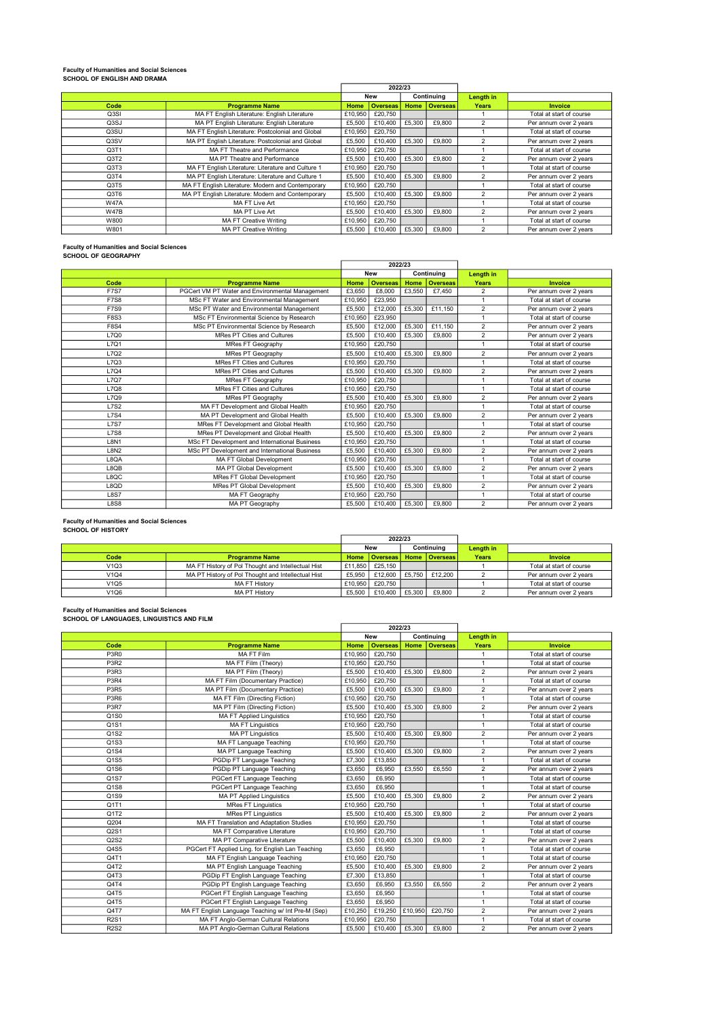# Faculty of Humanities and Social Sciences SCHOOL OF ENGLISH AND DRAMA

|                  |                                                    |         | 2022/23         |        |               |                         |                          |  |  |  |  |  |  |  |            |  |  |
|------------------|----------------------------------------------------|---------|-----------------|--------|---------------|-------------------------|--------------------------|--|--|--|--|--|--|--|------------|--|--|
|                  |                                                    |         | <b>New</b>      |        |               |                         |                          |  |  |  |  |  |  |  | Continuing |  |  |
| Code             | <b>Programme Name</b>                              | Home    | <b>Overseas</b> |        | Home Overseas | <b>Years</b>            | <b>Invoice</b>           |  |  |  |  |  |  |  |            |  |  |
| Q3SI             | MA FT English Literature: English Literature       | £10,950 | £20,750         |        |               |                         | Total at start of course |  |  |  |  |  |  |  |            |  |  |
| Q3SJ             | MA PT English Literature: English Literature       | £5,500  | £10.400         | £5,300 | £9,800        | 2                       | Per annum over 2 years   |  |  |  |  |  |  |  |            |  |  |
| Q3SU             | MA FT English Literature: Postcolonial and Global  | £10,950 | £20,750         |        |               |                         | Total at start of course |  |  |  |  |  |  |  |            |  |  |
| Q3SV             | MA PT English Literature: Postcolonial and Global  | £5,500  | £10,400         | £5,300 | £9,800        | $\mathfrak{p}$          | Per annum over 2 years   |  |  |  |  |  |  |  |            |  |  |
| Q <sub>3T1</sub> | MA FT Theatre and Performance                      | £10,950 | £20,750         |        |               |                         | Total at start of course |  |  |  |  |  |  |  |            |  |  |
| Q3T2             | MA PT Theatre and Performance                      | £5,500  | £10,400         | £5,300 | £9,800        | $\overline{\mathbf{c}}$ | Per annum over 2 years   |  |  |  |  |  |  |  |            |  |  |
| Q3T3             | MA FT English Literature: Literature and Culture 1 | £10,950 | £20,750         |        |               |                         | Total at start of course |  |  |  |  |  |  |  |            |  |  |
| Q3T4             | MA PT English Literature: Literature and Culture 1 | £5,500  | £10,400         | £5,300 | £9,800        | 2                       | Per annum over 2 years   |  |  |  |  |  |  |  |            |  |  |
| Q3T5             | MA FT English Literature: Modern and Contemporary  | £10,950 | £20,750         |        |               |                         | Total at start of course |  |  |  |  |  |  |  |            |  |  |
| Q3T6             | MA PT English Literature: Modern and Contemporary  | £5,500  | £10,400         | £5,300 | £9,800        | 2                       | Per annum over 2 years   |  |  |  |  |  |  |  |            |  |  |
| <b>W47A</b>      | MA FT Live Art                                     | £10,950 | £20,750         |        |               |                         | Total at start of course |  |  |  |  |  |  |  |            |  |  |
| <b>W47B</b>      | MA PT Live Art                                     | £5,500  | £10,400         | £5,300 | £9,800        | 2                       | Per annum over 2 years   |  |  |  |  |  |  |  |            |  |  |
| W800             | MA FT Creative Writing                             | £10,950 | £20,750         |        |               |                         | Total at start of course |  |  |  |  |  |  |  |            |  |  |
| W801             | <b>MA PT Creative Writing</b>                      | £5,500  | £10.400         | £5,300 | £9,800        | $\mathfrak{p}$          | Per annum over 2 years   |  |  |  |  |  |  |  |            |  |  |

# Faculty of Humanities and Social Sciences SCHOOL OF GEOGRAPHY

|             |                                                 |         | 2022/23         |        |                 |                |                          |
|-------------|-------------------------------------------------|---------|-----------------|--------|-----------------|----------------|--------------------------|
|             |                                                 |         | <b>New</b>      |        | Continuing      | Length in      |                          |
| Code        | <b>Programme Name</b>                           | Home    | <b>Overseas</b> | Home   | <b>Overseas</b> | Years          | Invoice                  |
| <b>F7S7</b> | PGCert VM PT Water and Environmental Management | £3.650  | £8,000          | £3.550 | £7.450          | $\overline{2}$ | Per annum over 2 years   |
| <b>F7S8</b> | MSc FT Water and Environmental Management       | £10,950 | £23,950         |        |                 | $\overline{1}$ | Total at start of course |
| <b>F7S9</b> | MSc PT Water and Environmental Management       | £5,500  | £12,000         | £5,300 | £11.150         | $\overline{2}$ | Per annum over 2 years   |
| <b>F8S3</b> | MSc FT Environmental Science by Research        | £10,950 | £23,950         |        |                 |                | Total at start of course |
| <b>F8S4</b> | MSc PT Environmental Science by Research        | £5.500  | £12,000         | £5,300 | £11.150         | $\overline{2}$ | Per annum over 2 years   |
| L7Q0        | <b>MRes PT Cities and Cultures</b>              | £5,500  | £10,400         | £5,300 | £9,800          | $\overline{2}$ | Per annum over 2 years   |
| L7Q1        | <b>MRes FT Geography</b>                        | £10,950 | £20,750         |        |                 |                | Total at start of course |
| L7Q2        | <b>MRes PT Geography</b>                        | £5,500  | £10,400         | £5,300 | £9,800          | $\overline{2}$ | Per annum over 2 years   |
| L7Q3        | MRes FT Cities and Cultures                     | £10.950 | £20,750         |        |                 |                | Total at start of course |
| L7Q4        | <b>MRes PT Cities and Cultures</b>              | £5,500  | £10,400         | £5,300 | £9,800          | $\overline{2}$ | Per annum over 2 years   |
| <b>L7Q7</b> | <b>MRes FT Geography</b>                        | £10,950 | £20,750         |        |                 |                | Total at start of course |
| L7Q8        | MRes FT Cities and Cultures                     | £10,950 | £20,750         |        |                 |                | Total at start of course |
| <b>L7O9</b> | <b>MRes PT Geography</b>                        | £5,500  | £10,400         | £5.300 | £9,800          | $\overline{c}$ | Per annum over 2 years   |
| <b>L7S2</b> | MA FT Development and Global Health             | £10.950 | £20,750         |        |                 | $\overline{1}$ | Total at start of course |
| <b>L7S4</b> | MA PT Development and Global Health             | £5,500  | £10,400         | £5,300 | £9,800          | 2              | Per annum over 2 years   |
| <b>L7S7</b> | MRes FT Development and Global Health           | £10.950 | £20,750         |        |                 |                | Total at start of course |
| <b>L7S8</b> | MRes PT Development and Global Health           | £5,500  | £10,400         | £5,300 | £9,800          | $\overline{2}$ | Per annum over 2 years   |
| <b>L8N1</b> | MSc FT Development and International Business   | £10.950 | £20,750         |        |                 | $\overline{1}$ | Total at start of course |
| L8N2        | MSc PT Development and International Business   | £5,500  | £10,400         | £5,300 | £9,800          | $\overline{2}$ | Per annum over 2 years   |
| L8QA        | MA FT Global Development                        | £10,950 | £20,750         |        |                 | 1              | Total at start of course |
| L8QB        | MA PT Global Development                        | £5,500  | £10,400         | £5,300 | £9,800          | $\overline{2}$ | Per annum over 2 years   |
| L8QC        | <b>MRes FT Global Development</b>               | £10,950 | £20,750         |        |                 |                | Total at start of course |
| L8QD        | MRes PT Global Development                      | £5,500  | £10,400         | £5,300 | £9,800          | $\overline{2}$ | Per annum over 2 years   |
| <b>L8S7</b> | MA FT Geography                                 | £10,950 | £20,750         |        |                 |                | Total at start of course |
| <b>L8S8</b> | MA PT Geography                                 | £5.500  | £10,400         | £5,300 | £9,800          | $\overline{2}$ | Per annum over 2 years   |

#### Faculty of Humanities and Social Sciences SCHOOL OF HISTORY

|      |                                                    |         | 2022/23         |        |                 |       |                          |  |  |  |  |  |  |  |  |  |  |  |  |  |  |  |  |  |  |  |  |  |  |  |            |           |  |
|------|----------------------------------------------------|---------|-----------------|--------|-----------------|-------|--------------------------|--|--|--|--|--|--|--|--|--|--|--|--|--|--|--|--|--|--|--|--|--|--|--|------------|-----------|--|
|      |                                                    |         | <b>New</b>      |        |                 |       |                          |  |  |  |  |  |  |  |  |  |  |  |  |  |  |  |  |  |  |  |  |  |  |  | Continuina | Length in |  |
| Code | <b>Programme Name</b>                              |         | Home   Overseas |        | Home   Overseas | Years | <b>Invoice</b>           |  |  |  |  |  |  |  |  |  |  |  |  |  |  |  |  |  |  |  |  |  |  |  |            |           |  |
| V1Q3 | MA FT History of Pol Thought and Intellectual Hist | £11,850 | £25.150         |        |                 |       | Total at start of course |  |  |  |  |  |  |  |  |  |  |  |  |  |  |  |  |  |  |  |  |  |  |  |            |           |  |
| V1Q4 | MA PT History of Pol Thought and Intellectual Hist | £5.950  | £12,600         | £5,750 | £12,200         |       | Per annum over 2 years   |  |  |  |  |  |  |  |  |  |  |  |  |  |  |  |  |  |  |  |  |  |  |  |            |           |  |
| V1Q5 | <b>MA FT History</b>                               | £10.950 | £20.750         |        |                 |       | Total at start of course |  |  |  |  |  |  |  |  |  |  |  |  |  |  |  |  |  |  |  |  |  |  |  |            |           |  |
| V1Q6 | <b>MA PT History</b>                               | £5,500  | £10,400         | £5,300 | £9,800          |       | Per annum over 2 years   |  |  |  |  |  |  |  |  |  |  |  |  |  |  |  |  |  |  |  |  |  |  |  |            |           |  |

#### Faculty of Humanities and Social Sciences

|                               |                                                    |         | 2022/23         |         |                 |                         |                          |
|-------------------------------|----------------------------------------------------|---------|-----------------|---------|-----------------|-------------------------|--------------------------|
|                               |                                                    |         | <b>New</b>      |         | Continuing      | Length in               |                          |
| Code                          | <b>Programme Name</b>                              | Home    | <b>Overseas</b> | Home    | <b>Overseas</b> | Years                   | <b>Invoice</b>           |
| P3R0                          | <b>MA FT Film</b>                                  | £10,950 | £20,750         |         |                 | 1                       | Total at start of course |
| P <sub>3</sub> R <sub>2</sub> | MA FT Film (Theory)                                | £10,950 | £20,750         |         |                 | $\mathbf{1}$            | Total at start of course |
| P3R3                          | MA PT Film (Theory)                                | £5,500  | £10,400         | £5,300  | £9,800          | $\overline{2}$          | Per annum over 2 years   |
| P3R4                          | MA FT Film (Documentary Practice)                  | £10,950 | £20.750         |         |                 | $\mathbf{1}$            | Total at start of course |
| P3R5                          | MA PT Film (Documentary Practice)                  | £5,500  | £10,400         | £5,300  | £9,800          | $\overline{\mathbf{c}}$ | Per annum over 2 years   |
| P3R6                          | MA FT Film (Directing Fiction)                     | £10,950 | £20,750         |         |                 | $\mathbf{1}$            | Total at start of course |
| P3R7                          | MA PT Film (Directing Fiction)                     | £5,500  | £10.400         | £5,300  | £9,800          | $\overline{c}$          | Per annum over 2 years   |
| Q <sub>1</sub> S <sub>0</sub> | <b>MA FT Applied Linguistics</b>                   | £10,950 | £20,750         |         |                 | $\mathbf{1}$            | Total at start of course |
| Q1S1                          | <b>MA FT Linguistics</b>                           | £10,950 | £20.750         |         |                 | $\mathbf{1}$            | Total at start of course |
| $Q$ 1S2                       | <b>MA PT Linguistics</b>                           | £5,500  | £10,400         | £5,300  | £9,800          | $\overline{2}$          | Per annum over 2 years   |
| Q1S3                          | MA FT Language Teaching                            | £10,950 | £20,750         |         |                 | $\mathbf{1}$            | Total at start of course |
| Q1S4                          | MA PT Language Teaching                            | £5,500  | £10,400         | £5,300  | £9,800          | $\overline{2}$          | Per annum over 2 years   |
| Q1S5                          | PGDip FT Language Teaching                         | £7,300  | £13,850         |         |                 | $\mathbf{1}$            | Total at start of course |
| Q1S6                          | PGDip PT Language Teaching                         | £3,650  | £6,950          | £3.550  | £6,550          | $\overline{c}$          | Per annum over 2 years   |
| $Q$ 1S7                       | PGCert FT Language Teaching                        | £3,650  | £6,950          |         |                 | $\mathbf{1}$            | Total at start of course |
| Q1S8                          | PGCert PT Language Teaching                        | £3,650  | £6,950          |         |                 | $\mathbf{1}$            | Total at start of course |
| Q1S9                          | <b>MA PT Applied Linguistics</b>                   | £5,500  | £10,400         | £5,300  | £9,800          | $\overline{2}$          | Per annum over 2 years   |
| Q1T1                          | <b>MRes FT Linguistics</b>                         | £10.950 | £20,750         |         |                 | 1                       | Total at start of course |
| Q1T2                          | <b>MRes PT Linguistics</b>                         | £5,500  | £10,400         | £5,300  | £9,800          | $\overline{2}$          | Per annum over 2 years   |
| Q204                          | MA FT Translation and Adaptation Studies           | £10,950 | £20.750         |         |                 | $\mathbf{1}$            | Total at start of course |
| Q2S1                          | MA FT Comparative Literature                       | £10,950 | £20,750         |         |                 | $\mathbf{1}$            | Total at start of course |
| Q2S2                          | MA PT Comparative Literature                       | £5,500  | £10,400         | £5,300  | £9,800          | $\overline{\mathbf{c}}$ | Per annum over 2 years   |
| Q4S5                          | PGCert FT Applied Ling. for English Lan Teaching   | £3,650  | £6,950          |         |                 | $\mathbf{1}$            | Total at start of course |
| Q4T1                          | MA FT English Language Teaching                    | £10,950 | £20.750         |         |                 | $\mathbf{1}$            | Total at start of course |
| Q4T2                          | MA PT English Language Teaching                    | £5,500  | £10,400         | £5,300  | £9,800          | $\overline{2}$          | Per annum over 2 years   |
| Q4T3                          | PGDip FT English Language Teaching                 | £7,300  | £13,850         |         |                 | $\mathbf{1}$            | Total at start of course |
| Q4T4                          | PGDip PT English Language Teaching                 | £3,650  | £6,950          | £3,550  | £6,550          | $\overline{2}$          | Per annum over 2 years   |
| Q4T5                          | PGCert FT English Language Teaching                | £3,650  | £6,950          |         |                 | $\mathbf{1}$            | Total at start of course |
| Q4T5                          | PGCert FT English Language Teaching                | £3,650  | £6,950          |         |                 | $\mathbf{1}$            | Total at start of course |
| Q4T7                          | MA FT English Language Teaching w/ Int Pre-M (Sep) | £10,250 | £19,250         | £10,950 | £20,750         | $\overline{2}$          | Per annum over 2 years   |
| <b>R2S1</b>                   | MA FT Anglo-German Cultural Relations              | £10,950 | £20,750         |         |                 | $\mathbf{1}$            | Total at start of course |
| <b>R2S2</b>                   | MA PT Anglo-German Cultural Relations              | £5,500  | £10,400         | £5,300  | £9,800          | $\overline{2}$          | Per annum over 2 years   |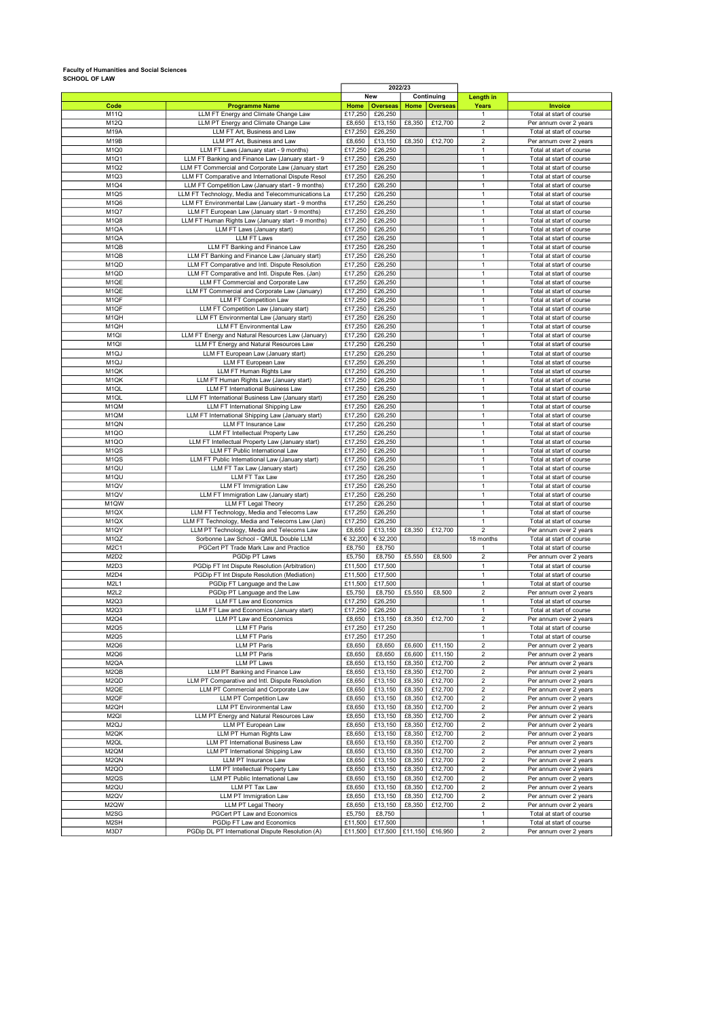# Faculty of Humanities and Social Sciences SCHOOL OF LAW

|                               |                                                    |          |                              | 2022/23 |                 |                |                                                  |
|-------------------------------|----------------------------------------------------|----------|------------------------------|---------|-----------------|----------------|--------------------------------------------------|
|                               |                                                    |          | <b>New</b>                   |         | Continuing      | Length in      |                                                  |
| Code                          | <b>Programme Name</b>                              | Home     | <b>Overseas</b>              | Home    | <b>Overseas</b> | Years          | Invoice                                          |
| M11Q                          | LLM FT Energy and Climate Change Law               | £17,250  | £26,250                      |         |                 | $\mathbf{1}$   | Total at start of course                         |
| M12Q                          | LLM PT Energy and Climate Change Law               | £8,650   | £13.150                      | £8,350  | £12,700         | $\overline{2}$ | Per annum over 2 years                           |
| M19A                          | LLM FT Art, Business and Law                       | £17,250  | £26,250                      |         |                 | $\mathbf{1}$   | Total at start of course                         |
| M19B                          | LLM PT Art, Business and Law                       | £8,650   | £13,150                      | £8,350  | £12,700         | $\overline{2}$ | Per annum over 2 years                           |
| M <sub>1Q0</sub>              | LLM FT Laws (January start - 9 months)             | £17,250  | £26,250                      |         |                 | $\mathbf{1}$   | Total at start of course                         |
| M1Q1                          | LLM FT Banking and Finance Law (January start - 9  | £17,250  | £26,250                      |         |                 | $\mathbf{1}$   | Total at start of course                         |
| M1Q2                          | LLM FT Commercial and Corporate Law (January start | £17,250  | £26,250                      |         |                 | $\mathbf{1}$   | Total at start of course                         |
| M <sub>1Q3</sub>              | LLM FT Comparative and International Dispute Resol | £17,250  | £26,250                      |         |                 | $\overline{1}$ | Total at start of course                         |
| M1Q4                          | LLM FT Competition Law (January start - 9 months)  | £17,250  | £26,250                      |         |                 | $\mathbf{1}$   | Total at start of course                         |
| M1Q5                          | LLM FT Technology, Media and Telecommunications La | £17,250  | £26,250                      |         |                 | $\mathbf{1}$   | Total at start of course                         |
| M <sub>1Q6</sub>              | LLM FT Environmental Law (January start - 9 months | £17,250  | £26,250                      |         |                 | $\mathbf{1}$   | Total at start of course                         |
| M1Q7                          | LLM FT European Law (January start - 9 months)     | £17,250  | £26,250                      |         |                 | $\mathbf{1}$   | Total at start of course                         |
| M1Q8                          |                                                    |          |                              |         |                 | $\mathbf{1}$   |                                                  |
|                               | LLM FT Human Rights Law (January start - 9 months) | £17,250  | £26,250                      |         |                 | $\mathbf{1}$   | Total at start of course                         |
| M <sub>1Q</sub> A             | LLM FT Laws (January start)                        | £17,250  | £26,250                      |         |                 |                | Total at start of course                         |
| M <sub>1Q</sub> A             | <b>LLM FT Laws</b>                                 | £17,250  | £26,250                      |         |                 | $\mathbf{1}$   | Total at start of course                         |
| M <sub>1QB</sub>              | LLM FT Banking and Finance Law                     | £17,250  | £26,250                      |         |                 | $\mathbf{1}$   | Total at start of course                         |
| M <sub>1QB</sub>              | LLM FT Banking and Finance Law (January start)     | £17,250  | £26,250                      |         |                 | $\mathbf{1}$   | Total at start of course                         |
| M <sub>1Q</sub> D             | LLM FT Comparative and Intl. Dispute Resolution    | £17,250  | £26,250                      |         |                 | $\mathbf{1}$   | Total at start of course                         |
| M <sub>1QD</sub>              | LLM FT Comparative and Intl. Dispute Res. (Jan)    | £17,250  | £26,250                      |         |                 | $\mathbf{1}$   | Total at start of course                         |
| M <sub>1QE</sub>              | LLM FT Commercial and Corporate Law                | £17,250  | £26,250                      |         |                 | $\mathbf{1}$   | Total at start of course                         |
| M <sub>1QE</sub>              | LLM FT Commercial and Corporate Law (January)      | £17,250  | £26,250                      |         |                 | $\mathbf{1}$   | Total at start of course                         |
| M <sub>1QF</sub>              | LLM FT Competition Law                             | £17,250  | £26,250                      |         |                 | $\mathbf{1}$   | Total at start of course                         |
| M1QF                          | LLM FT Competition Law (January start)             | £17,250  | £26,250                      |         |                 | $\mathbf{1}$   | Total at start of course                         |
| M1QH                          | LLM FT Environmental Law (January start)           | £17,250  | £26,250                      |         |                 | $\mathbf{1}$   | Total at start of course                         |
| M <sub>1QH</sub>              | LLM FT Environmental Law                           | £17,250  | £26,250                      |         |                 | $\mathbf{1}$   | Total at start of course                         |
| M <sub>1QI</sub>              | LLM FT Energy and Natural Resources Law (January)  | £17,250  | £26,250                      |         |                 | $\mathbf{1}$   | Total at start of course                         |
| M <sub>1QI</sub>              | LLM FT Energy and Natural Resources Law            | £17,250  | £26,250                      |         |                 | $\mathbf{1}$   | Total at start of course                         |
| M <sub>1Q</sub> J             | LLM FT European Law (January start)                | £17,250  | £26,250                      |         |                 | $\mathbf{1}$   | Total at start of course                         |
| M <sub>1Q</sub> J             | LLM FT European Law                                | £17,250  | £26,250                      |         |                 | $\mathbf{1}$   | Total at start of course                         |
| M <sub>1QK</sub>              |                                                    |          |                              |         |                 | $\overline{1}$ |                                                  |
|                               | LLM FT Human Rights Law                            | £17,250  | £26,250                      |         |                 |                | Total at start of course                         |
| M <sub>1QK</sub>              | LLM FT Human Rights Law (January start)            | £17,250  | £26,250                      |         |                 | $\mathbf{1}$   | Total at start of course                         |
| M <sub>1QL</sub>              | LLM FT International Business Law                  | £17,250  | £26,250                      |         |                 | $\mathbf{1}$   | Total at start of course                         |
| M <sub>1QL</sub>              | LLM FT International Business Law (January start)  | £17,250  | £26,250                      |         |                 | $\mathbf{1}$   | Total at start of course                         |
| M <sub>1QM</sub>              | LLM FT International Shipping Law                  | £17,250  | £26,250                      |         |                 | $\mathbf{1}$   | Total at start of course                         |
| M <sub>1</sub> QM             | LLM FT International Shipping Law (January start)  | £17,250  | £26,250                      |         |                 | $\mathbf{1}$   | Total at start of course                         |
| M <sub>1</sub> QN             | <b>LLM FT Insurance Law</b>                        | £17,250  | £26,250                      |         |                 | $\mathbf{1}$   | Total at start of course                         |
| M <sub>1QO</sub>              | LLM FT Intellectual Property Law                   | £17,250  | £26,250                      |         |                 | $\mathbf{1}$   | Total at start of course                         |
| M <sub>1QO</sub>              | LLM FT Intellectual Property Law (January start)   | £17,250  | £26,250                      |         |                 | $\mathbf{1}$   | Total at start of course                         |
| M <sub>1QS</sub>              | LLM FT Public International Law                    | £17,250  | £26,250                      |         |                 | $\mathbf{1}$   | Total at start of course                         |
| M <sub>1QS</sub>              | LLM FT Public International Law (January start)    | £17,250  | £26,250                      |         |                 | $\mathbf{1}$   | Total at start of course                         |
| M <sub>1QU</sub>              | LLM FT Tax Law (January start)                     | £17,250  | £26,250                      |         |                 | $\mathbf{1}$   | Total at start of course                         |
| M <sub>1QU</sub>              | LLM FT Tax Law                                     | £17,250  | £26,250                      |         |                 | $\mathbf{1}$   | Total at start of course                         |
| M <sub>1</sub> QV             | LLM FT Immigration Law                             | £17,250  | £26,250                      |         |                 | $\mathbf{1}$   | Total at start of course                         |
| M <sub>1Q</sub> V             | LLM FT Immigration Law (January start)             | £17,250  | £26,250                      |         |                 | $\mathbf{1}$   | Total at start of course                         |
| M1QW                          | LLM FT Legal Theory                                | £17,250  | £26,250                      |         |                 | $\mathbf{1}$   | Total at start of course                         |
| M <sub>1</sub> QX             | LLM FT Technology, Media and Telecoms Law          | £17,250  | £26,250                      |         |                 | $\mathbf{1}$   | Total at start of course                         |
| M <sub>1</sub> QX             | LLM FT Technology, Media and Telecoms Law (Jan)    | £17,250  | £26,250                      |         |                 | $\mathbf{1}$   | Total at start of course                         |
| M1QY                          | LLM PT Technology, Media and Telecoms Law          | £8,650   | £13,150                      | £8,350  | £12,700         | $\overline{2}$ |                                                  |
|                               |                                                    |          |                              |         |                 |                | Per annum over 2 years                           |
| M1QZ                          | Sorbonne Law School - QMUL Double LLM              | € 32,200 | € 32,200                     |         |                 | 18 months      | Total at start of course                         |
| M <sub>2C1</sub>              | PGCert PT Trade Mark Law and Practice              | £8,750   | £8,750                       |         |                 | $\mathbf{1}$   | Total at start of course                         |
| M <sub>2</sub> D <sub>2</sub> | PGDip PT Laws                                      | £5,750   | £8,750                       | £5,550  | £8,500          | $\overline{2}$ | Per annum over 2 years                           |
| M2D3                          | PGDip FT Int Dispute Resolution (Arbitration)      | £11,500  | £17,500                      |         |                 | $\mathbf{1}$   | Total at start of course                         |
| M2D4                          | PGDip FT Int Dispute Resolution (Mediation)        | £11,500  | £17,500                      |         |                 | $\mathbf{1}$   | Total at start of course                         |
| M2L1                          | PGDip FT Language and the Law                      | £11,500  | £17,500                      |         |                 | $\mathbf{1}$   | Total at start of course                         |
| M2L2                          | PGDip PT Language and the Law                      | £5,750   | £8,750                       | £5,550  | £8,500          | $\overline{2}$ | Per annum over 2 years                           |
| M <sub>2Q</sub> 3             | LLM FT Law and Economics                           | £17,250  | £26,250                      |         |                 | $\mathbf{1}$   | Total at start of course                         |
| M <sub>2Q</sub> 3             | LLM FT Law and Economics (January start)           | £17,250  | £26,250                      |         |                 | $\mathbf{1}$   | Total at start of course                         |
| M2Q4                          | LLM PT Law and Economics                           | £8,650   | $\overline{\text{£}}$ 13,150 | £8,350  | £12,700         | $\overline{2}$ | Per annum over 2 years                           |
| M2Q5                          | <b>LLM FT Paris</b>                                | £17,250  | £17,250                      |         |                 |                | Total at start of course                         |
| M2Q5                          | <b>LLM FT Paris</b>                                | £17,250  | £17,250                      |         |                 | $\mathbf{1}$   | Total at start of course                         |
| M2Q6                          | <b>LLM PT Paris</b>                                | £8,650   | £8,650                       | £6,600  | £11,150         | $\overline{c}$ | Per annum over 2 years                           |
| M2Q6                          | <b>LLM PT Paris</b>                                | £8,650   | £8,650                       | £6,600  | £11,150         | $\overline{2}$ | Per annum over 2 years                           |
| M <sub>2</sub> QA             | <b>LLM PT Laws</b>                                 | £8,650   | £13,150                      | £8,350  | £12,700         | 2              | Per annum over 2 years                           |
| M2QB                          | LLM PT Banking and Finance Law                     | £8,650   | £13,150                      | £8,350  | £12,700         | $\sqrt{2}$     | Per annum over 2 years                           |
| M2QD                          | LLM PT Comparative and Intl. Dispute Resolution    | £8,650   | £13,150                      | £8,350  | £12,700         | $\overline{c}$ | Per annum over 2 years                           |
| M2QE                          | LLM PT Commercial and Corporate Law                | £8,650   | £13,150                      | £8,350  | £12,700         | $\overline{2}$ | Per annum over 2 years                           |
| M <sub>2</sub> QF             | LLM PT Competition Law                             | £8,650   | £13,150                      | £8,350  | £12,700         | $\overline{2}$ | Per annum over 2 years                           |
| M2QH                          | <b>LLM PT Environmental Law</b>                    | £8,650   |                              | £8,350  | £12,700         | $\overline{2}$ |                                                  |
|                               |                                                    |          | £13,150                      |         |                 |                | Per annum over 2 years<br>Per annum over 2 years |
| M <sub>2QI</sub>              | LLM PT Energy and Natural Resources Law            | £8,650   | £13,150                      | £8,350  | £12,700         | $\overline{2}$ |                                                  |
| M <sub>2Q</sub> J             | <b>LLM PT European Law</b>                         | £8,650   | £13,150                      | £8,350  | £12,700         | $\overline{2}$ | Per annum over 2 years                           |
| M2QK                          | LLM PT Human Rights Law                            | £8,650   | £13,150                      | £8,350  | £12,700         | $\overline{c}$ | Per annum over 2 years                           |
| M2QL                          | LLM PT International Business Law                  | £8,650   | £13,150                      | £8,350  | £12,700         | $\overline{c}$ | Per annum over 2 years                           |
| M2QM                          | LLM PT International Shipping Law                  | £8,650   | £13,150                      | £8,350  | £12,700         | $\overline{2}$ | Per annum over 2 years                           |
| M <sub>2</sub> QN             | LLM PT Insurance Law                               | £8,650   | £13,150                      | £8,350  | £12,700         | $\sqrt{2}$     | Per annum over 2 years                           |
| M <sub>2QO</sub>              | LLM PT Intellectual Property Law                   | £8,650   | £13,150                      | £8,350  | £12,700         | $\overline{c}$ | Per annum over 2 years                           |
| M <sub>2Q</sub> S             | LLM PT Public International Law                    | £8,650   | £13,150                      | £8,350  | £12,700         | $\overline{2}$ | Per annum over 2 years                           |
| M2QU                          | LLM PT Tax Law                                     | £8,650   | £13,150                      | £8,350  | £12,700         | $\overline{2}$ | Per annum over 2 years                           |
| M2QV                          | LLM PT Immigration Law                             | £8,650   | £13,150                      | £8,350  | £12,700         | $\overline{c}$ | Per annum over 2 years                           |
| M2QW                          | LLM PT Legal Theory                                | £8,650   | £13,150                      | £8,350  | £12,700         | $\overline{c}$ | Per annum over 2 years                           |
| M2SG                          | PGCert PT Law and Economics                        | £5,750   | £8,750                       |         |                 | $\mathbf{1}$   | Total at start of course                         |
| M2SH                          | PGDip FT Law and Economics                         | £11,500  | £17,500                      |         |                 | $\mathbf{1}$   | Total at start of course                         |
| M3D7                          | PGDip DL PT International Dispute Resolution (A)   | £11,500  | £17,500                      | £11,150 | £16,950         | $\overline{c}$ | Per annum over 2 years                           |

 $\overline{a}$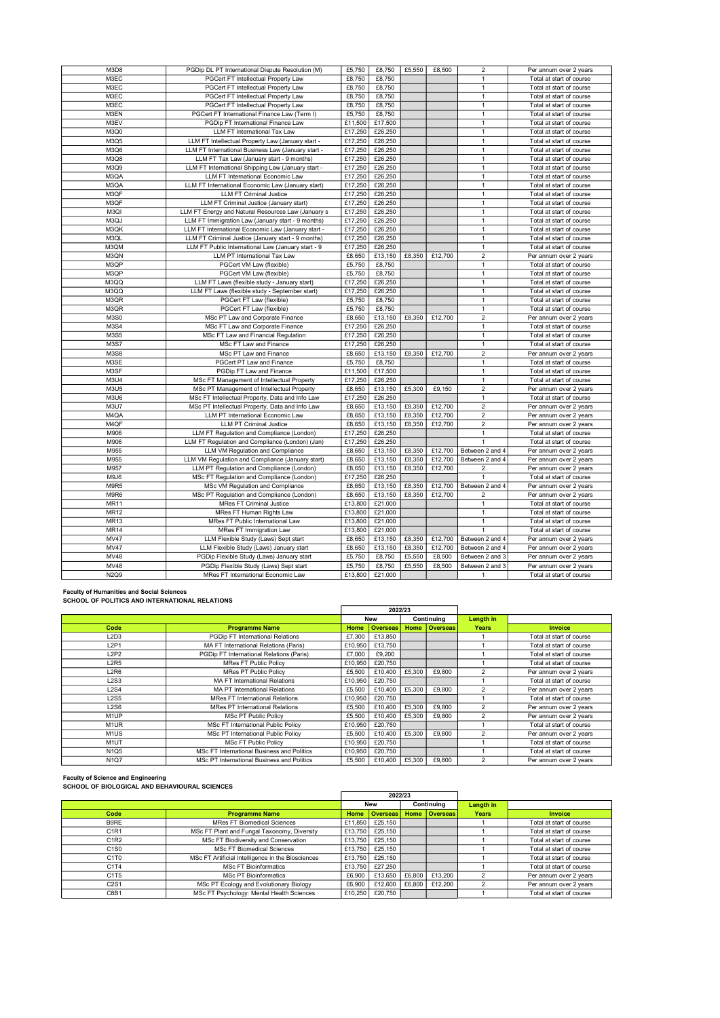| M3D8        | PGDip DL PT International Dispute Resolution (M)   | £5.750  | £8,750  | £5,550 | £8,500  | $\overline{2}$          | Per annum over 2 years   |
|-------------|----------------------------------------------------|---------|---------|--------|---------|-------------------------|--------------------------|
| M3EC        | PGCert FT Intellectual Property Law                | £8,750  | £8,750  |        |         | $\mathbf{1}$            | Total at start of course |
| M3EC        | PGCert FT Intellectual Property Law                | £8,750  | £8.750  |        |         | $\mathbf{1}$            | Total at start of course |
| M3EC        | PGCert FT Intellectual Property Law                | £8,750  | £8,750  |        |         | $\mathbf{1}$            | Total at start of course |
| M3EC        | PGCert FT Intellectual Property Law                | £8,750  | £8,750  |        |         | $\mathbf{1}$            | Total at start of course |
| M3EN        | PGCert FT International Finance Law (Term I)       | £5,750  | £8,750  |        |         | $\mathbf{1}$            | Total at start of course |
| M3EV        | PGDip FT International Finance Law                 | £11,500 | £17,500 |        |         | $\mathbf{1}$            | Total at start of course |
| <b>M3Q0</b> | LLM FT International Tax Law                       | £17,250 | £26,250 |        |         | $\mathbf{1}$            | Total at start of course |
| M3Q5        | LLM FT Intellectual Property Law (January start -  | £17,250 | £26,250 |        |         | $\mathbf{1}$            | Total at start of course |
| M3Q6        | LLM FT International Business Law (January start - | £17,250 | £26,250 |        |         | $\mathbf{1}$            | Total at start of course |
| M3Q8        | LLM FT Tax Law (January start - 9 months)          | £17,250 | £26,250 |        |         | $\mathbf{1}$            | Total at start of course |
| M3Q9        | LLM FT International Shipping Law (January start - | £17,250 | £26,250 |        |         | $\mathbf{1}$            | Total at start of course |
| M3QA        | LLM FT International Economic Law                  | £17,250 | £26,250 |        |         | $\mathbf{1}$            | Total at start of course |
| M3QA        | LLM FT International Economic Law (January start)  | £17,250 | £26,250 |        |         | $\mathbf{1}$            | Total at start of course |
| M3QF        | <b>LLM FT Criminal Justice</b>                     | £17,250 | £26,250 |        |         | $\mathbf{1}$            | Total at start of course |
| M3QF        | LLM FT Criminal Justice (January start)            | £17,250 | £26,250 |        |         | $\mathbf{1}$            | Total at start of course |
| M3QI        | LLM FT Energy and Natural Resources Law (January s | £17,250 | £26,250 |        |         | $\mathbf{1}$            | Total at start of course |
| M3QJ        | LLM FT Immigration Law (January start - 9 months)  | £17,250 | £26,250 |        |         | $\mathbf{1}$            | Total at start of course |
| M3QK        | LLM FT International Economic Law (January start - | £17,250 | £26,250 |        |         | $\mathbf{1}$            | Total at start of course |
| M3QL        | LLM FT Criminal Justice (January start - 9 months) | £17,250 | £26,250 |        |         | $\mathbf{1}$            | Total at start of course |
| M3QM        | LLM FT Public International Law (January start - 9 | £17,250 | £26,250 |        |         | $\mathbf{1}$            | Total at start of course |
| M3QN        | LLM PT International Tax Law                       | £8,650  | £13,150 | £8,350 | £12,700 | $\overline{2}$          | Per annum over 2 years   |
| M3QP        | PGCert VM Law (flexible)                           | £5,750  | £8,750  |        |         | $\mathbf{1}$            | Total at start of course |
| M3QP        | PGCert VM Law (flexible)                           | £5,750  | £8,750  |        |         | $\mathbf{1}$            | Total at start of course |
| M3QQ        | LLM FT Laws (flexible study - January start)       | £17,250 | £26,250 |        |         | $\mathbf{1}$            | Total at start of course |
| M3QQ        | LLM FT Laws (flexible study - September start)     | £17,250 | £26,250 |        |         | $\mathbf{1}$            | Total at start of course |
| M3QR        | PGCert FT Law (flexible)                           | £5,750  | £8,750  |        |         | $\mathbf{1}$            | Total at start of course |
| M3QR        | PGCert FT Law (flexible)                           | £5,750  | £8,750  |        |         | $\mathbf{1}$            | Total at start of course |
| M3S0        | MSc PT Law and Corporate Finance                   | £8,650  | £13,150 | £8,350 | £12,700 | $\overline{2}$          | Per annum over 2 years   |
| M3S4        | MSc FT Law and Corporate Finance                   | £17,250 | £26,250 |        |         | $\mathbf{1}$            | Total at start of course |
| M3S5        | MSc FT Law and Financial Regulation                | £17,250 | £26,250 |        |         | $\mathbf{1}$            | Total at start of course |
| M3S7        | MSc FT Law and Finance                             | £17,250 | £26,250 |        |         | $\mathbf{1}$            | Total at start of course |
| M3S8        | MSc PT Law and Finance                             | £8,650  | £13,150 | £8,350 | £12,700 | $\overline{2}$          | Per annum over 2 years   |
| M3SE        | PGCert PT Law and Finance                          | £5,750  | £8,750  |        |         | $\mathbf{1}$            | Total at start of course |
| M3SF        | PGDip FT Law and Finance                           | £11,500 | £17,500 |        |         | $\mathbf{1}$            | Total at start of course |
| M3U4        | MSc FT Management of Intellectual Property         | £17,250 | £26,250 |        |         | $\mathbf{1}$            | Total at start of course |
| M3U5        | MSc PT Management of Intellectual Property         | £8,650  | £13,150 | £5,300 | £9,150  | $\overline{2}$          | Per annum over 2 years   |
| M3U6        | MSc FT Intellectual Property, Data and Info Law    | £17,250 | £26,250 |        |         | $\mathbf{1}$            | Total at start of course |
| <b>M3U7</b> | MSc PT Intellectual Property, Data and Info Law    | £8,650  | £13,150 | £8,350 | £12,700 | $\overline{2}$          | Per annum over 2 years   |
| M4QA        | LLM PT International Economic Law                  | £8,650  | £13,150 | £8,350 | £12,700 | $\overline{2}$          | Per annum over 2 years   |
| M4QF        | <b>LLM PT Criminal Justice</b>                     | £8,650  | £13,150 | £8,350 | £12,700 | $\overline{2}$          | Per annum over 2 years   |
| M906        | LLM FT Regulation and Compliance (London)          | £17,250 | £26,250 |        |         | $\mathbf{1}$            | Total at start of course |
| M906        | LLM FT Regulation and Compliance (London) (Jan)    | £17,250 | £26,250 |        |         |                         | Total at start of course |
| M955        | LLM VM Regulation and Compliance                   | £8,650  | £13,150 | £8,350 | £12,700 | Between 2 and 4         | Per annum over 2 years   |
| M955        | LLM VM Regulation and Compliance (January start)   | £8,650  | £13,150 | £8,350 | £12,700 | Between 2 and 4         | Per annum over 2 years   |
| M957        | LLM PT Regulation and Compliance (London)          | £8,650  | £13,150 | £8,350 | £12,700 | 2                       | Per annum over 2 years   |
| M9J6        | MSc FT Regulation and Compliance (London)          | £17,250 | £26,250 |        |         | 1                       | Total at start of course |
| M9R5        | MSc VM Regulation and Compliance                   | £8,650  | £13,150 | £8,350 | £12,700 | Between 2 and 4         | Per annum over 2 years   |
| M9R6        | MSc PT Regulation and Compliance (London)          | £8,650  | £13,150 | £8,350 | £12,700 | $\overline{\mathbf{c}}$ | Per annum over 2 years   |
| <b>MR11</b> | <b>MRes FT Criminal Justice</b>                    | £13,800 | £21,000 |        |         | $\mathbf{1}$            | Total at start of course |
| MR12        | MRes FT Human Rights Law                           | £13,800 | £21,000 |        |         | $\mathbf{1}$            | Total at start of course |
| <b>MR13</b> | MRes FT Public International Law                   | £13,800 | £21,000 |        |         | $\mathbf{1}$            | Total at start of course |
| <b>MR14</b> | MRes FT Immigration Law                            | £13,800 | £21,000 |        |         | $\mathbf{1}$            | Total at start of course |
| <b>MV47</b> | LLM Flexible Study (Laws) Sept start               | £8,650  | £13,150 | £8,350 | £12,700 | Between 2 and 4         | Per annum over 2 years   |
| <b>MV47</b> | LLM Flexible Study (Laws) January start            | £8,650  | £13,150 | £8,350 | £12,700 | Between 2 and 4         | Per annum over 2 years   |
| MV48        | PGDip Flexible Study (Laws) January start          | £5,750  | £8,750  | £5,550 | £8,500  | Between 2 and 3         | Per annum over 2 years   |
| MV48        | PGDip Flexible Study (Laws) Sept start             | £5,750  | £8,750  | £5,550 | £8,500  | Between 2 and 3         | Per annum over 2 years   |
| N2Q9        | MRes FT International Economic Law                 | £13,800 | £21,000 |        |         | 1                       | Total at start of course |
|             |                                                    |         |         |        |         |                         |                          |

Faculty of Humanities and Social Sciences SCHOOL OF POLITICS AND INTERNATIONAL RELATIONS

|                               |                                            |         | 2022/23         |        |                 |                |                          |
|-------------------------------|--------------------------------------------|---------|-----------------|--------|-----------------|----------------|--------------------------|
|                               |                                            |         | <b>New</b>      |        | Continuing      | Length in      |                          |
| Code                          | <b>Programme Name</b>                      | Home    | <b>Overseas</b> | Home   | <b>Overseas</b> | <b>Years</b>   | <b>Invoice</b>           |
| L2D3                          | PGDip FT International Relations           | £7.300  | £13,850         |        |                 |                | Total at start of course |
| L <sub>2</sub> P <sub>1</sub> | MA FT International Relations (Paris)      | £10,950 | £13,750         |        |                 |                | Total at start of course |
| L2P2                          | PGDip FT International Relations (Paris)   | £7,000  | £9,200          |        |                 |                | Total at start of course |
| L <sub>2</sub> R <sub>5</sub> | <b>MRes FT Public Policy</b>               | £10,950 | £20,750         |        |                 |                | Total at start of course |
| L2R6                          | <b>MRes PT Public Policy</b>               | £5,500  | £10,400         | £5,300 | £9,800          |                | Per annum over 2 years   |
| L2S3                          | <b>MA FT International Relations</b>       | £10.950 | £20,750         |        |                 |                | Total at start of course |
| L2S4                          | <b>MA PT International Relations</b>       | £5.500  | £10.400         | £5,300 | £9,800          |                | Per annum over 2 years   |
| L2S5                          | <b>MRes FT International Relations</b>     | £10.950 | £20,750         |        |                 |                | Total at start of course |
| L2S6                          | <b>MRes PT International Relations</b>     | £5,500  | £10,400         | £5,300 | £9,800          | $\mathfrak{p}$ | Per annum over 2 years   |
| M <sub>1</sub> UP             | MSc PT Public Policy                       | £5,500  | £10,400         | £5,300 | £9,800          | $\mathfrak{p}$ | Per annum over 2 years   |
| M <sub>1</sub> UR             | <b>MSc FT International Public Policy</b>  | £10.950 | £20,750         |        |                 |                | Total at start of course |
| M <sub>1</sub> US             | MSc PT International Public Policy         | £5.500  | £10.400         | £5,300 | £9,800          | 2              | Per annum over 2 years   |
| M <sub>1</sub> UT             | <b>MSc FT Public Policy</b>                | £10.950 | £20.750         |        |                 |                | Total at start of course |
| N <sub>1</sub> Q <sub>5</sub> | MSc FT International Business and Politics | £10,950 | £20,750         |        |                 |                | Total at start of course |
| <b>N1Q7</b>                   | MSc PT International Business and Politics | £5,500  | £10,400         | £5,300 | £9,800          | $\mathfrak{p}$ | Per annum over 2 years   |

Faculty of Science and Engineering SCHOOL OF BIOLOGICAL AND BEHAVIOURAL SCIENCES

| SCAOOL OF BIOLOGICAL AND BEARVIOURAL SCIENCES |                                                   |         |                 |        |                 |              |                          |
|-----------------------------------------------|---------------------------------------------------|---------|-----------------|--------|-----------------|--------------|--------------------------|
|                                               |                                                   |         | 2022/23         |        |                 |              |                          |
|                                               |                                                   |         | <b>New</b>      |        | Continuing      | Length in    |                          |
| Code                                          | <b>Programme Name</b>                             | Home    | <b>Overseas</b> |        | Home   Overseas | <b>Years</b> | <b>Invoice</b>           |
| B9RE                                          | <b>MRes FT Biomedical Sciences</b>                | £11.850 | £25.150         |        |                 |              | Total at start of course |
| C1R1                                          | MSc FT Plant and Fungal Taxonomy, Diversity       | £13,750 | £25.150         |        |                 |              | Total at start of course |
| C <sub>1</sub> R <sub>2</sub>                 | MSc FT Biodiversity and Conservation              | £13,750 | £25.150         |        |                 |              | Total at start of course |
| C <sub>1</sub> S <sub>0</sub>                 | <b>MSc FT Biomedical Sciences</b>                 | £13,750 | £25.150         |        |                 |              | Total at start of course |
| C <sub>1</sub> T <sub>0</sub>                 | MSc FT Artificial Intelligence in the Biosciences | £13,750 | £25.150         |        |                 |              | Total at start of course |
| C1T4                                          | £13.750<br><b>MSc FT Bioinformatics</b>           |         | £27,250         |        |                 |              | Total at start of course |
| C1T5                                          | <b>MSc PT Bioinformatics</b>                      | £6,900  | £13.650         | £6,800 | £13,200         |              | Per annum over 2 years   |
| C2S1                                          | MSc PT Ecology and Evolutionary Biology           | £6,900  | £12,600         | £6,800 | £12,200         |              | Per annum over 2 years   |
| C8B1                                          | MSc FT Psychology: Mental Health Sciences         | £10.250 | £20.750         |        |                 |              | Total at start of course |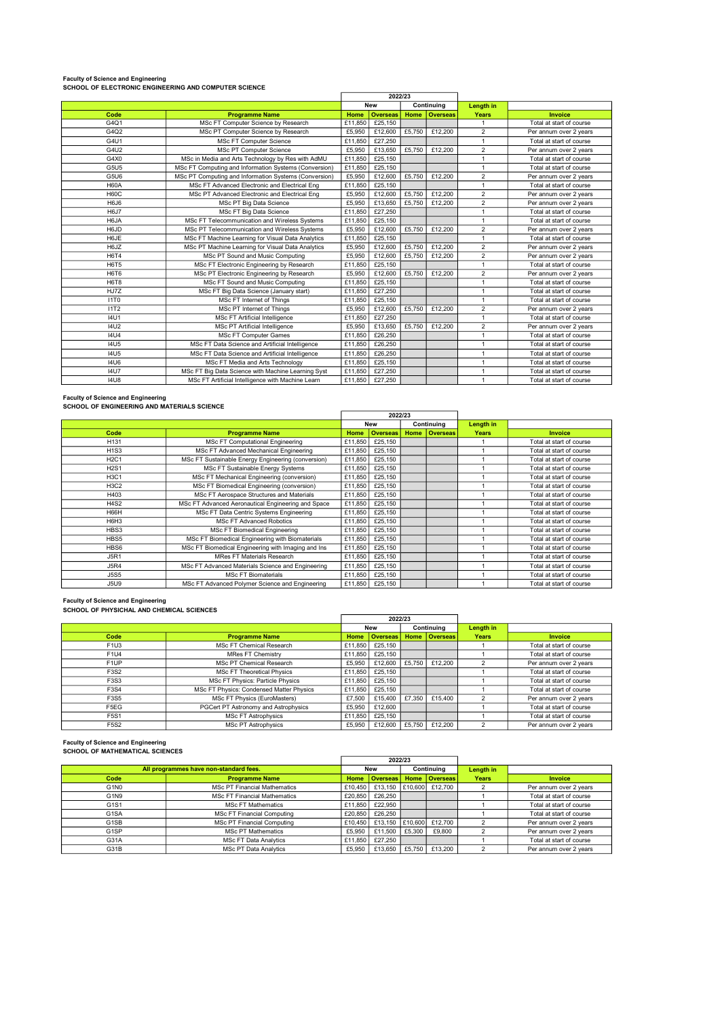#### Faculty of Science and Engineering

|             |                                                              | 2022/23 |                 |        |                 |                |                          |
|-------------|--------------------------------------------------------------|---------|-----------------|--------|-----------------|----------------|--------------------------|
|             |                                                              |         | <b>New</b>      |        | Continuing      | Length in      |                          |
| Code        | <b>Programme Name</b>                                        | Home    | <b>Overseas</b> | Home   | <b>Overseas</b> | Years          | Invoice                  |
| G401        | MSc FT Computer Science by Research                          | £11,850 | £25,150         |        |                 | $\mathbf{1}$   | Total at start of course |
| G4Q2        | MSc PT Computer Science by Research                          | £5.950  | £12,600         | £5.750 | £12,200         | $\overline{2}$ | Per annum over 2 years   |
| G4U1        | <b>MSc FT Computer Science</b>                               | £11,850 | £27,250         |        |                 | 1              | Total at start of course |
| G4U2        | MSc PT Computer Science                                      | £5,950  | £13.650         | £5.750 | £12,200         | $\overline{2}$ | Per annum over 2 years   |
| G4X0        | MSc in Media and Arts Technology by Res with AdMU            | £11,850 | £25,150         |        |                 | $\mathbf{1}$   | Total at start of course |
| G5U5        | MSc FT Computing and Information Systems (Conversion)        | £11,850 | £25,150         |        |                 | 1              | Total at start of course |
| G5U6        | MSc PT Computing and Information Systems (Conversion)        | £5,950  | £12,600         | £5.750 | £12,200         | $\overline{2}$ | Per annum over 2 years   |
| <b>H60A</b> | MSc FT Advanced Electronic and Electrical Eng                | £11.850 | £25,150         |        |                 | 1              | Total at start of course |
| <b>H60C</b> | MSc PT Advanced Electronic and Electrical Eng                | £5,950  | £12,600         | £5,750 | £12,200         | $\overline{2}$ | Per annum over 2 years   |
| H6J6        | MSc PT Big Data Science<br>£5,950                            |         | £13,650         | £5,750 | £12,200         | $\overline{2}$ | Per annum over 2 years   |
| <b>H6J7</b> | £11.850<br>MSc FT Big Data Science                           |         | £27,250         |        |                 | 1              | Total at start of course |
| H6JA        | MSc FT Telecommunication and Wireless Systems<br>£11.850     |         | £25,150         |        |                 | 1              | Total at start of course |
| H6JD        | MSc PT Telecommunication and Wireless Systems<br>£5,950      |         | £12,600         | £5,750 | £12,200         | $\overline{2}$ | Per annum over 2 years   |
| H6JE        | £11,850<br>MSc FT Machine Learning for Visual Data Analytics |         | £25,150         |        |                 | $\overline{1}$ | Total at start of course |
| H6JZ        | MSc PT Machine Learning for Visual Data Analytics            | £5,950  | £12,600         | £5.750 | £12,200         | $\overline{2}$ | Per annum over 2 years   |
| <b>H6T4</b> | MSc PT Sound and Music Computing                             | £5,950  | £12,600         | £5.750 | £12,200         | $\overline{2}$ | Per annum over 2 years   |
| <b>H6T5</b> | MSc FT Electronic Engineering by Research                    | £11,850 | £25,150         |        |                 | 1              | Total at start of course |
| <b>H6T6</b> | MSc PT Electronic Engineering by Research                    | £5,950  | £12,600         | £5,750 | £12,200         | $\overline{2}$ | Per annum over 2 years   |
| H6T8        | MSc FT Sound and Music Computing                             | £11,850 | £25,150         |        |                 | $\mathbf{1}$   | Total at start of course |
| HJ7Z        | MSc FT Big Data Science (January start)                      | £11.850 | £27,250         |        |                 | 1              | Total at start of course |
| <b>11T0</b> | MSc FT Internet of Things                                    | £11.850 | £25,150         |        |                 | $\mathbf{1}$   | Total at start of course |
| 11T2        | MSc PT Internet of Things                                    | £5,950  | £12,600         | £5,750 | £12,200         | $\overline{2}$ | Per annum over 2 years   |
| <b>I4U1</b> | MSc FT Artificial Intelligence                               | £11.850 | £27,250         |        |                 | 1              | Total at start of course |
| <b>I4U2</b> | MSc PT Artificial Intelligence                               | £5,950  | £13,650         | £5,750 | £12,200         | $\mathfrak{p}$ | Per annum over 2 years   |
| <b>I4U4</b> | <b>MSc FT Computer Games</b>                                 | £11.850 | £26,250         |        |                 | $\overline{1}$ | Total at start of course |
| <b>I4U5</b> | MSc FT Data Science and Artificial Intelligence              | £11,850 | £26,250         |        |                 | 1              | Total at start of course |
| <b>I4U5</b> | MSc FT Data Science and Artificial Intelligence              | £11,850 | £26,250         |        |                 | $\mathbf{1}$   | Total at start of course |
| <b>14U6</b> | MSc FT Media and Arts Technology                             | £11,850 | £25,150         |        |                 | 1              | Total at start of course |
| <b>I4U7</b> | MSc FT Big Data Science with Machine Learning Syst           | £11,850 | £27,250         |        |                 | 1              | Total at start of course |
| <b>14U8</b> | MSc FT Artificial Intelligence with Machine Learn            | £11,850 | £27,250         |        |                 | 1              | Total at start of course |

#### Faculty of Science and Engineering SCHOOL OF ENGINEERING AND MATERIALS SCIENCE

|             |                                                       | 2022/23 |                 |      |                 |              |                          |
|-------------|-------------------------------------------------------|---------|-----------------|------|-----------------|--------------|--------------------------|
|             |                                                       |         | <b>New</b>      |      | Continuina      | Length in    |                          |
| Code        | <b>Programme Name</b>                                 | Home    | <b>Overseas</b> | Home | <b>Overseas</b> | <b>Years</b> | <b>Invoice</b>           |
| H131        | MSc FT Computational Engineering                      | £11.850 | £25,150         |      |                 |              | Total at start of course |
| <b>H1S3</b> | MSc FT Advanced Mechanical Engineering                | £11,850 | £25,150         |      |                 |              | Total at start of course |
| <b>H2C1</b> | MSc FT Sustainable Energy Engineering (conversion)    | £11,850 | £25,150         |      |                 |              | Total at start of course |
| <b>H2S1</b> | MSc FT Sustainable Energy Systems<br>£11,850          |         | £25,150         |      |                 |              | Total at start of course |
| <b>H3C1</b> | MSc FT Mechanical Engineering (conversion)<br>£11,850 |         | £25,150         |      |                 |              | Total at start of course |
| <b>H3C2</b> | MSc FT Biomedical Engineering (conversion)<br>£11,850 |         | £25.150         |      |                 |              | Total at start of course |
| H403        | MSc FT Aerospace Structures and Materials             | £11,850 | £25,150         |      |                 |              | Total at start of course |
| <b>H4S2</b> | MSc FT Advanced Aeronautical Engineering and Space    | £11,850 | £25,150         |      |                 |              | Total at start of course |
| H66H        | MSc FT Data Centric Systems Engineering               | £11,850 | £25,150         |      |                 |              | Total at start of course |
| H6H3        | <b>MSc FT Advanced Robotics</b>                       | £11.850 | £25,150         |      |                 |              | Total at start of course |
| HBS3        | <b>MSc FT Biomedical Engineering</b>                  | £11,850 | £25,150         |      |                 |              | Total at start of course |
| HBS5        | MSc FT Biomedical Engineering with Biomaterials       | £11,850 | £25,150         |      |                 |              | Total at start of course |
| HBS6        | MSc FT Biomedical Engineering with Imaging and Ins    | £11,850 | £25,150         |      |                 |              | Total at start of course |
| <b>J5R1</b> | <b>MRes FT Materials Research</b>                     | £11,850 | £25,150         |      |                 |              | Total at start of course |
| <b>J5R4</b> | MSc FT Advanced Materials Science and Engineering     | £11,850 | £25,150         |      |                 |              | Total at start of course |
| <b>J5S5</b> | <b>MSc FT Biomaterials</b>                            | £11,850 | £25,150         |      |                 |              | Total at start of course |
| <b>J5U9</b> | MSc FT Advanced Polymer Science and Engineering       | £11,850 | £25,150         |      |                 |              | Total at start of course |

#### Faculty of Science and Engineering SCHOOL OF PHYSICHAL AND CHEMICAL SCIENCES

|                               | 2022/23                                      |         |                 |        |               |              |                          |
|-------------------------------|----------------------------------------------|---------|-----------------|--------|---------------|--------------|--------------------------|
|                               |                                              |         | <b>New</b>      |        | Continuing    | Length in    |                          |
| Code                          | <b>Programme Name</b>                        | Home    | Overseas        |        | Home Overseas | <b>Years</b> | <b>Invoice</b>           |
| F <sub>1</sub> U <sub>3</sub> | <b>MSc FT Chemical Research</b>              | £11,850 | £25,150         |        |               |              | Total at start of course |
| F1U4                          | <b>MRes FT Chemistry</b><br>£11.850          |         | £25,150         |        |               |              | Total at start of course |
| F <sub>1UP</sub>              | MSc PT Chemical Research<br>£5.950           |         | £12,600 $\vert$ | £5,750 | £12,200       |              | Per annum over 2 years   |
| F3S2                          | <b>MSc FT Theoretical Physics</b><br>£11.850 |         | £25,150         |        |               |              | Total at start of course |
| F3S3                          | MSc FT Physics: Particle Physics             | £11.850 | £25,150         |        |               |              | Total at start of course |
| F3S4                          | MSc FT Physics: Condensed Matter Physics     | £11.850 | £25.150         |        |               |              | Total at start of course |
| F3S5                          | MSc FT Physics (EuroMasters)                 | £7,500  | £15,400         | £7.350 | £15,400       |              | Per annum over 2 years   |
| F5EG                          | PGCert PT Astronomy and Astrophysics         |         | £12,600         |        |               |              | Total at start of course |
| F5S1                          | <b>MSc FT Astrophysics</b>                   | £11,850 | £25,150         |        |               |              | Total at start of course |
| F5S2                          | <b>MSc PT Astrophysics</b>                   | £5,950  | £12,600         | £5,750 | £12,200       |              | Per annum over 2 years   |

#### Faculty of Science and Engineering SCHOOL OF MATHEMATICAL SCIENCES

|                                        |                                                | 2022/23 |                                       |            |                 |           |                          |
|----------------------------------------|------------------------------------------------|---------|---------------------------------------|------------|-----------------|-----------|--------------------------|
| All programmes have non-standard fees. |                                                | New     |                                       | Continuing |                 | Length in |                          |
| Code                                   | <b>Programme Name</b>                          | Home    | Overseas                              | Home       | <b>Overseas</b> | Years     | <b>Invoice</b>           |
| G <sub>1</sub> N <sub>0</sub>          | <b>MSc PT Financial Mathematics</b>            |         | £10.450   £13.150   £10.600   £12.700 |            |                 |           | Per annum over 2 years   |
| G1N9                                   | <b>MSc FT Financial Mathematics</b><br>£20,850 |         | £26,250                               |            |                 |           | Total at start of course |
| G1S1                                   | £11,850<br><b>MSc FT Mathematics</b>           |         | £22.950                               |            |                 |           | Total at start of course |
| G <sub>1</sub> SA                      | <b>MSc FT Financial Computing</b>              | £20,850 | £26,250                               |            |                 |           | Total at start of course |
| G <sub>1</sub> SB                      | <b>MSc PT Financial Computing</b>              | £10.450 | £13.150 £10.600 £12.700               |            |                 |           | Per annum over 2 years   |
| G <sub>1</sub> SP                      | <b>MSc PT Mathematics</b>                      | £5.950  | £11,500                               | £5,300     | £9,800          |           | Per annum over 2 years   |
| G31A                                   | <b>MSc FT Data Analytics</b>                   | £11.850 | £27,250                               |            |                 |           | Total at start of course |
| G31B                                   | MSc PT Data Analytics                          | £5.950  | £13.650                               | £5.750     | £13,200         |           | Per annum over 2 years   |

 $\overline{\phantom{a}}$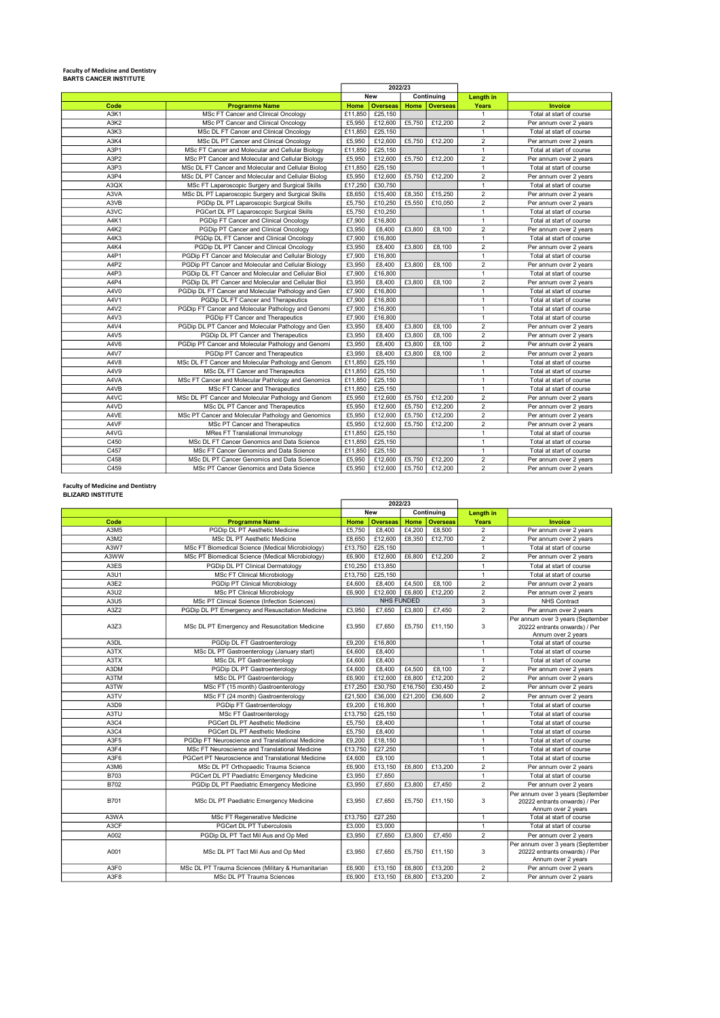## Faculty of Medicine and Dentistry BARTS CANCER INSTITUTE

| <b>BARIS CANCER INSIIIUIE</b> |                                                    |         | 2022/23         |        |                 |                         |                          |
|-------------------------------|----------------------------------------------------|---------|-----------------|--------|-----------------|-------------------------|--------------------------|
|                               |                                                    |         | <b>New</b>      |        | Continuing      | <b>Length in</b>        |                          |
| Code                          | <b>Programme Name</b>                              | Home    | <b>Overseas</b> | Home   | <b>Overseas</b> | <b>Years</b>            | Invoice                  |
| A3K1                          | MSc FT Cancer and Clinical Oncology                | £11,850 | £25,150         |        |                 | $\mathbf{1}$            | Total at start of course |
| A3K2                          | MSc PT Cancer and Clinical Oncology                | £5,950  | £12,600         | £5.750 | £12,200         | $\overline{2}$          | Per annum over 2 years   |
| A3K3                          | MSc DL FT Cancer and Clinical Oncology             | £11,850 | £25,150         |        |                 | $\mathbf{1}$            | Total at start of course |
| A3K4                          | MSc DL PT Cancer and Clinical Oncology             | £5.950  | £12,600         | £5,750 | £12,200         | $\overline{2}$          | Per annum over 2 years   |
| A3P1                          | MSc FT Cancer and Molecular and Cellular Biology   | £11,850 | £25,150         |        |                 | $\mathbf{1}$            | Total at start of course |
| A3P2                          | MSc PT Cancer and Molecular and Cellular Biology   | £5,950  | £12,600         | £5.750 | £12,200         | $\overline{2}$          | Per annum over 2 years   |
| A3P3                          | MSc DL FT Cancer and Molecular and Cellular Biolog | £11.850 | £25,150         |        |                 | $\overline{1}$          | Total at start of course |
| A3P4                          | MSc DL PT Cancer and Molecular and Cellular Biolog | £5,950  | £12,600         | £5,750 | £12,200         | $\overline{2}$          | Per annum over 2 years   |
| A3QX                          | MSc FT Laparoscopic Surgery and Surgical Skills    | £17,250 | £30,750         |        |                 | $\mathbf{1}$            | Total at start of course |
| A3VA                          | MSc DL PT Laparoscopic Surgery and Surgical Skills | £8,650  | £15,400         | £8,350 | £15,250         | $\overline{2}$          | Per annum over 2 years   |
| A3VB                          | PGDip DL PT Laparoscopic Surgical Skills           | £5.750  | £10.250         | £5.550 | £10.050         | $\overline{2}$          | Per annum over 2 years   |
| A3VC                          | PGCert DL PT Laparoscopic Surgical Skills          | £5,750  | £10,250         |        |                 | $\mathbf{1}$            | Total at start of course |
| A4K1                          | PGDip FT Cancer and Clinical Oncology              | £7,900  | £16,800         |        |                 | $\mathbf{1}$            | Total at start of course |
| A4K2                          | PGDip PT Cancer and Clinical Oncology              | £3.950  | £8,400          | £3,800 | £8,100          | $\overline{2}$          | Per annum over 2 years   |
| A4K3                          | PGDip DL FT Cancer and Clinical Oncology           | £7,900  | £16,800         |        |                 | $\mathbf{1}$            | Total at start of course |
| A4K4                          | PGDip DL PT Cancer and Clinical Oncology           | £3.950  | £8,400          | £3,800 | £8,100          | $\overline{2}$          | Per annum over 2 years   |
| A4P1                          | PGDip FT Cancer and Molecular and Cellular Biology | £7,900  | £16,800         |        |                 | $\overline{1}$          | Total at start of course |
| A4P2                          | PGDip PT Cancer and Molecular and Cellular Biology | £3,950  | £8,400          | £3,800 | £8,100          | $\overline{2}$          | Per annum over 2 years   |
| A4P3                          | PGDip DL FT Cancer and Molecular and Cellular Biol | £7,900  | £16,800         |        |                 | $\overline{1}$          | Total at start of course |
| A4P4                          | PGDip DL PT Cancer and Molecular and Cellular Biol | £3.950  | £8,400          | £3,800 | £8.100          | $\overline{2}$          | Per annum over 2 years   |
| A4V0                          | PGDip DL FT Cancer and Molecular Pathology and Gen | £7,900  | £16,800         |        |                 | $\mathbf{1}$            | Total at start of course |
| A4V1                          | PGDip DL FT Cancer and Therapeutics                | £7,900  | £16,800         |        |                 | $\mathbf{1}$            | Total at start of course |
| A4V2                          | PGDip FT Cancer and Molecular Pathology and Genomi | £7,900  | £16,800         |        |                 | $\mathbf{1}$            | Total at start of course |
| A4V3                          | PGDip FT Cancer and Therapeutics                   | £7,900  | £16,800         |        |                 | $\mathbf{1}$            | Total at start of course |
| A4V4                          | PGDip DL PT Cancer and Molecular Pathology and Gen | £3.950  | £8,400          | £3,800 | £8.100          | $\overline{2}$          | Per annum over 2 years   |
| A4V5                          | PGDip DL PT Cancer and Therapeutics                | £3.950  | £8,400          | £3,800 | £8.100          | $\overline{2}$          | Per annum over 2 years   |
| A4V6                          | PGDip PT Cancer and Molecular Pathology and Genomi | £3,950  | £8,400          | £3,800 | £8,100          | $\overline{2}$          | Per annum over 2 years   |
| A4V7                          | PGDip PT Cancer and Therapeutics                   | £3.950  | £8.400          | £3,800 | £8.100          | $\overline{2}$          | Per annum over 2 years   |
| A4V8                          | MSc DL FT Cancer and Molecular Pathology and Genom | £11.850 | £25.150         |        |                 | $\mathbf{1}$            | Total at start of course |
| A4V9                          | MSc DL FT Cancer and Therapeutics                  | £11.850 | £25,150         |        |                 | $\mathbf{1}$            | Total at start of course |
| A4VA                          | MSc FT Cancer and Molecular Pathology and Genomics | £11,850 | £25,150         |        |                 | $\mathbf{1}$            | Total at start of course |
| A4VB                          | MSc FT Cancer and Therapeutics                     | £11,850 | £25,150         |        |                 | $\overline{1}$          | Total at start of course |
| A4VC                          | MSc DL PT Cancer and Molecular Pathology and Genom | £5,950  | £12,600         | £5,750 | £12,200         | $\overline{2}$          | Per annum over 2 years   |
| A4VD                          | MSc DL PT Cancer and Therapeutics                  | £5.950  | £12,600         | £5,750 | £12,200         | $\overline{2}$          | Per annum over 2 years   |
| A4VE                          | MSc PT Cancer and Molecular Pathology and Genomics | £5.950  | £12,600         | £5,750 | £12,200         | $\overline{2}$          | Per annum over 2 years   |
| A4VF                          | MSc PT Cancer and Therapeutics                     | £5,950  | £12,600         | £5,750 | £12,200         | $\overline{2}$          | Per annum over 2 years   |
| A4VG                          | <b>MRes FT Translational Immunology</b>            | £11,850 | £25,150         |        |                 | $\mathbf{1}$            | Total at start of course |
| C450                          | MSc DL FT Cancer Genomics and Data Science         | £11.850 | £25,150         |        |                 | $\mathbf{1}$            | Total at start of course |
| C457                          | MSc FT Cancer Genomics and Data Science            | £11.850 | £25,150         |        |                 | $\mathbf{1}$            | Total at start of course |
| C458                          | MSc DL PT Cancer Genomics and Data Science         | £5,950  | £12,600         | £5,750 | £12,200         | $\overline{\mathbf{c}}$ | Per annum over 2 years   |
| C459                          | MSc PT Cancer Genomics and Data Science            | £5.950  | £12,600         | £5,750 | £12,200         | $\overline{2}$          | Per annum over 2 years   |

#### Faculty of Medicine and Dentistry BLIZARD INSTITUTE

| <b>DLILANU INJIIIUIE</b> |                                                    | 2022/23     |                   |                   |                 |                         |                                                                                          |
|--------------------------|----------------------------------------------------|-------------|-------------------|-------------------|-----------------|-------------------------|------------------------------------------------------------------------------------------|
|                          |                                                    |             | <b>New</b>        |                   | Continuina      | Length in               |                                                                                          |
| Code                     | <b>Programme Name</b>                              | <b>Home</b> | <b>Overseas</b>   | Home              | <b>Overseas</b> | Years                   | <b>Invoice</b>                                                                           |
| A3M5                     | PGDip DL PT Aesthetic Medicine                     | £5.750      | £8,400            | £4.200            | £8,500          | $\overline{2}$          | Per annum over 2 years                                                                   |
| A3M2                     | MSc DL PT Aesthetic Medicine                       | £8,650      | £12,600           | £8,350            | £12,700         | $\overline{\mathbf{c}}$ | Per annum over 2 years                                                                   |
| A3W7                     | MSc FT Biomedical Science (Medical Microbiology)   | £13,750     | £25,150           |                   |                 | $\mathbf{1}$            | Total at start of course                                                                 |
| A3WW                     | MSc PT Biomedical Science (Medical Microbiology)   | £6,900      | £12,600           | £6,800            | £12,200         | $\overline{c}$          | Per annum over 2 years                                                                   |
| A3ES                     | PGDip DL PT Clinical Dermatology                   | £10,250     | £13,850           |                   |                 | $\mathbf{1}$            | Total at start of course                                                                 |
| A3U1                     | <b>MSc FT Clinical Microbiology</b>                | £13,750     | £25,150           |                   |                 | $\mathbf{1}$            | Total at start of course                                                                 |
| A3E2                     | PGDip PT Clinical Microbiology                     | £4,600      | £8,400            | £4.500            | £8.100          | $\overline{2}$          | Per annum over 2 years                                                                   |
| A3U2                     | <b>MSc PT Clinical Microbiology</b>                | £6,900      | £12,600<br>£6,800 |                   | £12,200         | $\overline{2}$          | Per annum over 2 years                                                                   |
| A3U5                     | MSc PT Clinical Science (Infection Sciences)       |             |                   | <b>NHS FUNDED</b> |                 | 3                       | <b>NHS Contract</b>                                                                      |
| A3Z2                     | PGDip DL PT Emergency and Resuscitation Medicine   | £3,950      | £7,650            | £3,800            | £7,450          | $\overline{2}$          | Per annum over 2 years                                                                   |
| A373                     | MSc DL PT Emergency and Resuscitation Medicine     | £3.950      | £7.650            | £5.750            | £11.150         | 3                       | Per annum over 3 years (September<br>20222 entrants onwards) / Per<br>Annum over 2 years |
| A3DL                     | PGDip DL FT Gastroenterology                       | £9.200      | £16,800           |                   |                 | $\mathbf{1}$            | Total at start of course                                                                 |
| A3TX                     | MSc DL PT Gastroenterology (January start)         | £4.600      | £8,400            |                   |                 | $\mathbf{1}$            | Total at start of course                                                                 |
| A3TX                     | MSc DL PT Gastroenterology                         | £4.600      | £8,400            |                   |                 | $\mathbf{1}$            | Total at start of course                                                                 |
| A3DM                     | PGDip DL PT Gastroenterology                       | £4,600      | £8,400            | £4,500            | £8.100          | $\overline{2}$          | Per annum over 2 years                                                                   |
| A3TM                     | MSc DL PT Gastroenterology                         | £6,900      | £12,600           | £6,800            | £12,200         | $\mathfrak{p}$          | Per annum over 2 years                                                                   |
| A3TW                     | MSc FT (15 month) Gastroenterology                 | £17,250     | £30,750           | £16,750           | £30,450         | $\overline{2}$          | Per annum over 2 years                                                                   |
| A3TV                     | MSc FT (24 month) Gastroenterology                 | £21,500     | £36,000           | £21.200           | £36,600         | $\overline{2}$          | Per annum over 2 years                                                                   |
| A3D9                     | PGDip FT Gastroenterology                          | £9.200      | £16,800           |                   |                 | $\mathbf{1}$            | Total at start of course                                                                 |
| A3TU                     | MSc FT Gastroenterology                            | £13,750     | £25,150           |                   |                 | $\mathbf{1}$            | Total at start of course                                                                 |
| A3C4                     | PGCert DL PT Aesthetic Medicine                    | £5.750      | £8,400            |                   |                 | $\mathbf{1}$            | Total at start of course                                                                 |
| A3C4                     | PGCert DL PT Aesthetic Medicine                    | £5.750      | £8,400            |                   |                 | 1                       | Total at start of course                                                                 |
| A3F5                     | PGDip FT Neuroscience and Translational Medicine   | £9.200      | £18,150           |                   |                 | $\mathbf{1}$            | Total at start of course                                                                 |
| A3F4                     | MSc FT Neuroscience and Translational Medicine     | £13,750     | £27.250           |                   |                 | $\mathbf{1}$            | Total at start of course                                                                 |
| A3F6                     | PGCert PT Neuroscience and Translational Medicine  | £4,600      | £9,100            |                   |                 | $\mathbf{1}$            | Total at start of course                                                                 |
| A3M6                     | MSc DL PT Orthopaedic Trauma Science               | £6,900      | £13,150           | £6,800            | £13,200         | $\overline{2}$          | Per annum over 2 years                                                                   |
| <b>B703</b>              | PGCert DL PT Paediatric Emergency Medicine         | £3.950      | £7.650            |                   |                 | $\mathbf{1}$            | Total at start of course                                                                 |
| B702                     | PGDip DL PT Paediatric Emergency Medicine          | £3,950      | £7,650            | £3,800            | £7,450          | $\overline{\mathbf{c}}$ | Per annum over 2 years                                                                   |
| <b>B701</b>              | MSc DL PT Paediatric Emergency Medicine            | £3.950      | £7.650            | £5.750            | £11.150         | 3                       | Per annum over 3 years (September<br>20222 entrants onwards) / Per<br>Annum over 2 years |
| A3WA                     | MSc FT Regenerative Medicine                       | £13,750     | £27.250           |                   |                 | $\mathbf{1}$            | Total at start of course                                                                 |
| A3CF                     | PGCert DL PT Tuberculosis                          | £3,000      | £3,000            |                   |                 | $\mathbf{1}$            | Total at start of course                                                                 |
| A002                     | PGDip DL PT Tact Mil Aus and Op Med                | £3,950      | £7,650            | £3,800            | £7,450          | $\overline{2}$          | Per annum over 2 years                                                                   |
| A001                     | MSc DL PT Tact Mil Aus and Op Med                  | £3,950      | £7,650            | £5,750            | £11.150         | 3                       | Per annum over 3 years (September<br>20222 entrants onwards) / Per<br>Annum over 2 years |
| A3F0                     | MSc DL PT Trauma Sciences (Military & Humanitarian | £6,900      | £13,150           | £6,800            | £13,200         | $\overline{c}$          | Per annum over 2 years                                                                   |
| A3F8                     | MSc DL PT Trauma Sciences                          | £6,900      | £13,150           | £6,800            | £13,200         | $\overline{2}$          | Per annum over 2 years                                                                   |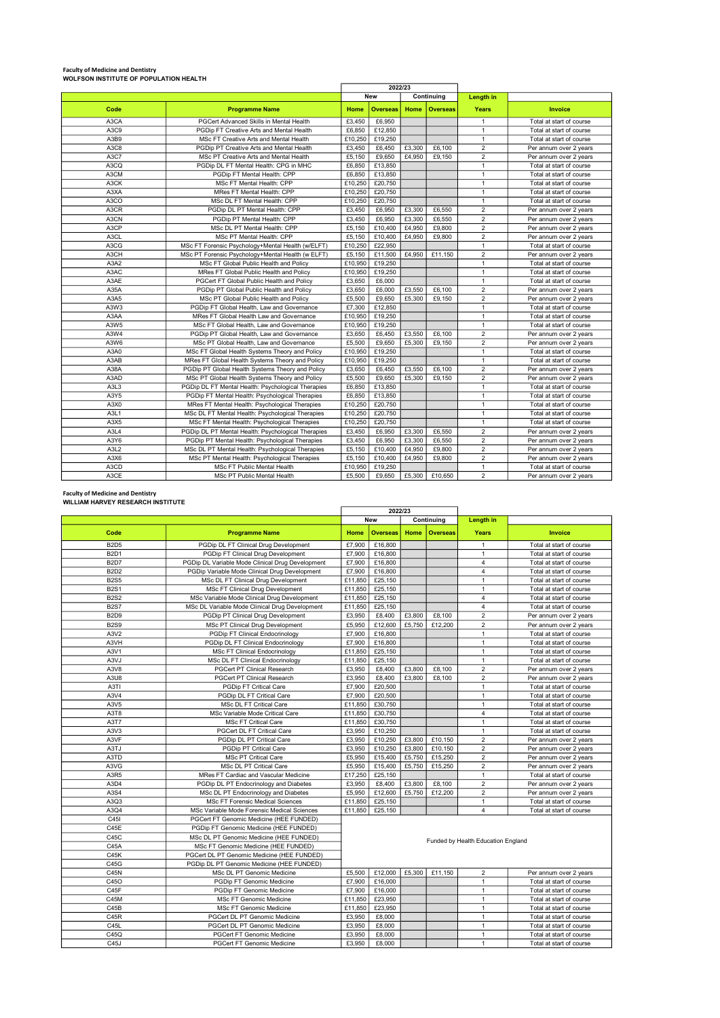## Faculty of Medicine and Dentistry WOLFSON INSTITUTE OF POPULATION HEALTH

|                               |                                                    | 2022/23 |                 |        |                 |                |                          |
|-------------------------------|----------------------------------------------------|---------|-----------------|--------|-----------------|----------------|--------------------------|
|                               |                                                    |         | <b>New</b>      |        | Continuing      | Length in      |                          |
| Code                          | <b>Programme Name</b>                              | Home    | <b>Overseas</b> | Home   | <b>Overseas</b> | Years          | <b>Invoice</b>           |
| A3CA                          | PGCert Advanced Skills in Mental Health            | £3.450  | £6,950          |        |                 | $\mathbf{1}$   | Total at start of course |
| A3C9                          | PGDip FT Creative Arts and Mental Health           | £6,850  | £12,850         |        |                 | $\overline{1}$ | Total at start of course |
| A3B9                          | MSc FT Creative Arts and Mental Health             | £10,250 | £19,250         |        |                 | $\mathbf{1}$   | Total at start of course |
| A3C8                          | PGDip PT Creative Arts and Mental Health           | £3,450  | £6,450          | £3,300 | £6.100          | $\overline{2}$ | Per annum over 2 years   |
| A3C7                          | MSc PT Creative Arts and Mental Health             | £5.150  | £9.650          | £4.950 | £9.150          | $\overline{2}$ | Per annum over 2 years   |
| A3CQ                          | PGDip DL FT Mental Health: CPG in MHC              | £6,850  | £13,850         |        |                 | $\mathbf{1}$   | Total at start of course |
| A3CM                          | PGDip FT Mental Health: CPP                        | £6,850  | £13,850         |        |                 | $\overline{1}$ | Total at start of course |
| A3CK                          | MSc FT Mental Health: CPP                          | £10,250 | £20,750         |        |                 | $\overline{1}$ | Total at start of course |
| A3XA                          | <b>MRes FT Mental Health: CPP</b>                  | £10,250 | £20.750         |        |                 | $\mathbf{1}$   | Total at start of course |
| A3CO                          | MSc DL FT Mental Health: CPP                       | £10.250 | £20.750         |        |                 | $\mathbf{1}$   | Total at start of course |
| A3CR                          | PGDip DL PT Mental Health: CPP                     | £3.450  | £6,950          | £3.300 | £6,550          | $\overline{2}$ | Per annum over 2 years   |
| A3CN                          | PGDip PT Mental Health: CPP                        | £3,450  | £6,950          | £3,300 | £6,550          | $\overline{2}$ | Per annum over 2 years   |
| A3CP                          | MSc DL PT Mental Health: CPP                       | £5.150  | £10,400         | £4.950 | £9,800          | $\overline{2}$ | Per annum over 2 years   |
| A <sub>3</sub> CL             | MSc PT Mental Health: CPP                          | £5.150  | £10,400         | £4.950 | £9,800          | $\overline{2}$ | Per annum over 2 years   |
| A3CG                          | MSc FT Forensic Psychology+Mental Health (w/ELFT)  | £10.250 | £22.950         |        |                 | $\overline{1}$ | Total at start of course |
| A3CH                          | MSc PT Forensic Psychology+Mental Health (w ELFT)  | £5,150  | £11,500         | £4.950 | £11,150         | $\overline{2}$ | Per annum over 2 years   |
| A3A2                          | MSc FT Global Public Health and Policy             | £10,950 | £19,250         |        |                 | $\mathbf{1}$   | Total at start of course |
| A3AC                          | MRes FT Global Public Health and Policy            | £10,950 | £19,250         |        |                 | $\mathbf{1}$   | Total at start of course |
| A3AE                          | PGCert FT Global Public Health and Policy          | £3.650  | £6,000          |        |                 | $\overline{1}$ | Total at start of course |
| A35A                          | PGDip PT Global Public Health and Policy           | £3.650  | £6,000          | £3.550 | £6.100          | $\overline{2}$ | Per annum over 2 years   |
| A3A5                          | MSc PT Global Public Health and Policy             | £5.500  | £9,650          | £5.300 | £9.150          | $\overline{2}$ | Per annum over 2 years   |
| A3W3                          | PGDip FT Global Health, Law and Governance         | £7,300  | £12,850         |        |                 | $\mathbf{1}$   | Total at start of course |
| A3AA                          | MRes FT Global Health Law and Governance           | £10.950 | £19,250         |        |                 | $\mathbf{1}$   | Total at start of course |
| A3W5                          | MSc FT Global Health, Law and Governance           | £10.950 | £19,250         |        |                 | $\mathbf{1}$   | Total at start of course |
| A3W4                          | PGDip PT Global Health, Law and Governance         | £3,650  | £6,450          | £3,550 | £6,100          | $\overline{2}$ | Per annum over 2 years   |
| A3W6                          | MSc PT Global Health, Law and Governance           | £5,500  | £9.650          | £5.300 | £9.150          | $\overline{2}$ | Per annum over 2 years   |
| A3A0                          | MSc FT Global Health Systems Theory and Policy     | £10.950 | £19,250         |        |                 | $\mathbf{1}$   | Total at start of course |
| A3AB                          | MRes FT Global Health Systems Theory and Policy    | £10.950 | £19,250         |        |                 | $\mathbf{1}$   | Total at start of course |
| A38A                          | PGDip PT Global Health Systems Theory and Policy   | £3,650  | £6.450          | £3.550 | £6.100          | $\overline{2}$ | Per annum over 2 years   |
| A3AD                          | MSc PT Global Health Systems Theory and Policy     | £5,500  | £9,650          | £5,300 | £9,150          | $\overline{2}$ | Per annum over 2 years   |
| A3L3                          | PGDip DL FT Mental Health: Psychological Therapies | £6,850  | £13,850         |        |                 | $\mathbf{1}$   | Total at start of course |
| A3Y5                          | PGDip FT Mental Health: Psychological Therapies    | £6,850  | £13,850         |        |                 | $\overline{1}$ | Total at start of course |
| A3X0                          | MRes FT Mental Health: Psychological Therapies     | £10,250 | £20.750         |        |                 | $\mathbf{1}$   | Total at start of course |
| A <sub>3</sub> L <sub>1</sub> | MSc DL FT Mental Health: Psychological Therapies   | £10,250 | £20.750         |        |                 | $\mathbf{1}$   | Total at start of course |
| A3X5                          | MSc FT Mental Health: Psychological Therapies      | £10,250 | £20,750         |        |                 | $\mathbf{1}$   | Total at start of course |
| A <sub>3</sub> L <sub>4</sub> | PGDip DL PT Mental Health: Psychological Therapies | £3.450  | £6,950          | £3.300 | £6,550          | $\overline{2}$ | Per annum over 2 years   |
| A3Y6                          | PGDip PT Mental Health: Psychological Therapies    | £3.450  | £6,950          | £3.300 | £6,550          | $\overline{2}$ | Per annum over 2 years   |
| A3L2                          | MSc DL PT Mental Health: Psychological Therapies   | £5,150  | £10,400         | £4.950 | £9,800          | $\overline{2}$ | Per annum over 2 years   |
| A3X6                          | MSc PT Mental Health: Psychological Therapies      | £5,150  | £10,400         | £4,950 | £9,800          | $\overline{2}$ | Per annum over 2 years   |
| A3CD                          | <b>MSc FT Public Mental Health</b>                 | £10.950 | £19,250         |        |                 | $\mathbf{1}$   | Total at start of course |
| A3CE                          | <b>MSc PT Public Mental Health</b>                 | £5.500  | £9.650          | £5,300 | £10,650         | $\overline{2}$ | Per annum over 2 years   |

#### Faculty of Medicine and Dentistry WILLIAM HARVEY RESEARCH INSTITUTE

|                   |                                                  | 2022/23 |                 |        |                 |                                    |                          |
|-------------------|--------------------------------------------------|---------|-----------------|--------|-----------------|------------------------------------|--------------------------|
|                   |                                                  |         | <b>New</b>      |        | Continuing      | Length in                          |                          |
| Code              | <b>Programme Name</b>                            | Home    | <b>Overseas</b> | Home   | <b>Overseas</b> | Years                              | <b>Invoice</b>           |
| <b>B2D5</b>       | PGDip DL FT Clinical Drug Development            | £7,900  | £16,800         |        |                 | $\mathbf{1}$                       | Total at start of course |
| <b>B2D1</b>       | PGDip FT Clinical Drug Development               | £7,900  | £16,800         |        |                 | $\mathbf{1}$                       | Total at start of course |
| <b>B2D7</b>       | PGDip DL Variable Mode Clinical Drug Development | £7.900  | £16,800         |        |                 | $\overline{4}$                     | Total at start of course |
| <b>B2D2</b>       | PGDip Variable Mode Clinical Drug Development    | £7,900  | £16,800         |        |                 | $\overline{4}$                     | Total at start of course |
| <b>B2S5</b>       | MSc DL FT Clinical Drug Development              | £11.850 | £25,150         |        |                 | $\mathbf{1}$                       | Total at start of course |
| <b>B2S1</b>       | MSc FT Clinical Drug Development                 | £11,850 | £25.150         |        |                 | $\overline{1}$                     | Total at start of course |
| <b>B2S2</b>       | MSc Variable Mode Clinical Drug Development      | £11,850 | £25,150         |        |                 | $\overline{4}$                     | Total at start of course |
| <b>B2S7</b>       | MSc DL Variable Mode Clinical Drug Development   | £11,850 | £25,150         |        |                 | $\overline{4}$                     | Total at start of course |
| <b>B2D9</b>       | PGDip PT Clinical Drug Development               | £3.950  | £8,400          | £3,800 | £8.100          | $\overline{2}$                     | Per annum over 2 years   |
| <b>B2S9</b>       | MSc PT Clinical Drug Development                 | £5,950  | £12,600         | £5,750 | £12,200         | $\overline{c}$                     | Per annum over 2 years   |
| A3V2              | PGDip FT Clinical Endocrinology                  | £7,900  | £16,800         |        |                 | $\mathbf{1}$                       | Total at start of course |
| A3VH              | PGDip DL FT Clinical Endocrinology               | £7,900  | £16,800         |        |                 | $\mathbf{1}$                       | Total at start of course |
| A3V1              | <b>MSc FT Clinical Endocrinology</b>             | £11,850 | £25,150         |        |                 | $\mathbf{1}$                       | Total at start of course |
| A3VJ              | MSc DL FT Clinical Endocrinology                 | £11,850 | £25,150         |        |                 | $\mathbf{1}$                       | Total at start of course |
| A3V8              | PGCert PT Clinical Research                      | £3,950  | £8,400          | £3,800 | £8,100          | $\overline{2}$                     | Per annum over 2 years   |
| A3U8              | PGCert PT Clinical Research                      | £3,950  | £8,400          | £3,800 | £8.100          | $\overline{c}$                     | Per annum over 2 years   |
| A3TI              | PGDip FT Critical Care                           | £7,900  | £20,500         |        |                 | $\mathbf{1}$                       | Total at start of course |
| A3V4              | PGDip DL FT Critical Care                        | £7,900  | £20,500         |        |                 | $\mathbf{1}$                       | Total at start of course |
| A3V5              | MSc DL FT Critical Care                          | £11,850 | £30,750         |        |                 | $\mathbf{1}$                       | Total at start of course |
| A3T8              | MSc Variable Mode Critical Care                  | £11,850 | £30,750         |        |                 | $\overline{4}$                     | Total at start of course |
| A3T7              | <b>MSc FT Critical Care</b>                      | £11,850 | £30,750         |        |                 | $\mathbf{1}$                       | Total at start of course |
| A3V3              | PGCert DL FT Critical Care                       | £3,950  | £10,250         |        |                 | $\mathbf{1}$                       | Total at start of course |
| A3VF              | PGDip DL PT Critical Care                        | £3,950  | £10,250         | £3,800 | £10,150         | $\overline{2}$                     | Per annum over 2 years   |
| A3TJ              | PGDip PT Critical Care                           | £3.950  | £10,250         | £3,800 | £10.150         | $\overline{2}$                     | Per annum over 2 years   |
| A3TD              | MSc PT Critical Care                             | £5,950  | £15,400         | £5,750 | £15,250         | $\overline{\mathbf{c}}$            | Per annum over 2 years   |
| A3VG              | MSc DL PT Critical Care                          | £5,950  | £15,400         | £5,750 | £15,250         | $\overline{2}$                     | Per annum over 2 years   |
| A3R5              | MRes FT Cardiac and Vascular Medicine            | £17,250 | £25,150         |        |                 | $\mathbf{1}$                       | Total at start of course |
| A3D4              | PGDip DL PT Endocrinology and Diabetes           | £3,950  | £8,400          | £3,800 | £8,100          | $\overline{c}$                     | Per annum over 2 years   |
| A3S4              | MSc DL PT Endocrinology and Diabetes             | £5,950  | £12,600         | £5.750 | £12,200         | $\overline{2}$                     | Per annum over 2 years   |
| A3Q3              | <b>MSc FT Forensic Medical Sciences</b>          | £11,850 | £25,150         |        |                 | $\mathbf{1}$                       | Total at start of course |
| A3Q4              | MSc Variable Mode Forensic Medical Sciences      | £11,850 | £25,150         |        |                 | $\overline{4}$                     | Total at start of course |
| C <sub>45</sub>   | PGCert FT Genomic Medicine (HEE FUNDED)          |         |                 |        |                 |                                    |                          |
| C45E              | PGDip FT Genomic Medicine (HEE FUNDED)           |         |                 |        |                 |                                    |                          |
| C45C              | MSc DL PT Genomic Medicine (HEE FUNDED)          |         |                 |        |                 | Funded by Health Education England |                          |
| C45A              | MSc FT Genomic Medicine (HEE FUNDED)             |         |                 |        |                 |                                    |                          |
| C45K              | PGCert DL PT Genomic Medicine (HEE FUNDED)       |         |                 |        |                 |                                    |                          |
| C45G              | PGDip DL PT Genomic Medicine (HEE FUNDED)        |         |                 |        |                 |                                    |                          |
| C45N              | MSc DL PT Genomic Medicine                       | £5,500  | £12,000         | £5,300 | £11,150         | $\overline{\mathbf{c}}$            | Per annum over 2 years   |
| C45O              | PGDip FT Genomic Medicine                        | £7,900  | £16,000         |        |                 | $\mathbf{1}$                       | Total at start of course |
| C45F              | PGDip FT Genomic Medicine                        | £7,900  | £16,000         |        |                 | $\mathbf{1}$                       | Total at start of course |
| C45M              | MSc FT Genomic Medicine                          | £11,850 | £23,950         |        |                 | $\mathbf{1}$                       | Total at start of course |
| C45B              | MSc FT Genomic Medicine                          | £11,850 | £23,950         |        |                 | $\mathbf{1}$                       | Total at start of course |
| C45R              | PGCert DL PT Genomic Medicine                    | £3,950  | £8,000          |        |                 | $\mathbf{1}$                       | Total at start of course |
| C45L              | PGCert DL PT Genomic Medicine                    | £3,950  | £8,000          |        |                 | $\mathbf{1}$                       | Total at start of course |
| C45Q              | PGCert FT Genomic Medicine                       | £3,950  | £8,000          |        |                 | $\mathbf{1}$                       | Total at start of course |
| C <sub>45</sub> J | <b>PGCert FT Genomic Medicine</b>                | £3.950  | £8,000          |        |                 | $\mathbf{1}$                       | Total at start of course |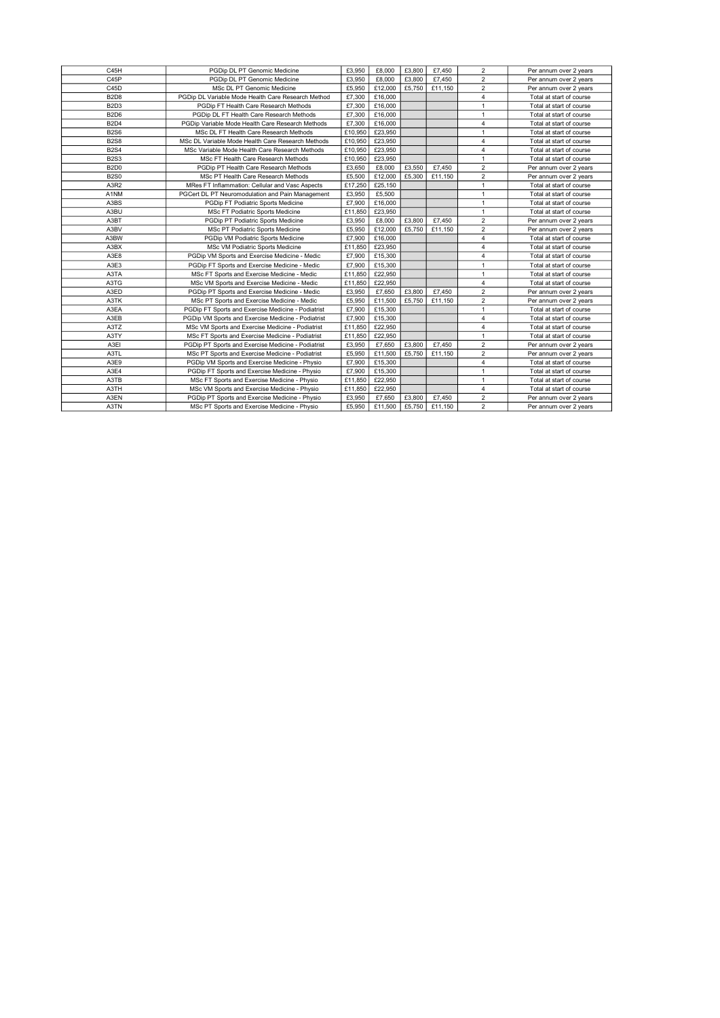| C45H                          | PGDip DL PT Genomic Medicine                       | £3,950  | £8,000  | £3,800 | £7,450  | 2                       | Per annum over 2 years   |
|-------------------------------|----------------------------------------------------|---------|---------|--------|---------|-------------------------|--------------------------|
| C45P                          | PGDip DL PT Genomic Medicine                       | £3.950  | £8,000  | £3,800 | £7.450  | $\overline{2}$          | Per annum over 2 years   |
| C45D                          | MSc DL PT Genomic Medicine                         | £5,950  | £12,000 | £5,750 | £11,150 | $\overline{2}$          | Per annum over 2 years   |
| <b>B2D8</b>                   | PGDip DL Variable Mode Health Care Research Method | £7,300  | £16,000 |        |         | $\overline{4}$          | Total at start of course |
| B <sub>2</sub> D <sub>3</sub> | PGDip FT Health Care Research Methods              | £7,300  | £16,000 |        |         | $\overline{1}$          | Total at start of course |
| <b>B2D6</b>                   | PGDip DL FT Health Care Research Methods           | £7.300  | £16,000 |        |         | 1                       | Total at start of course |
| <b>B2D4</b>                   | PGDip Variable Mode Health Care Research Methods   | £7,300  | £16,000 |        |         | 4                       | Total at start of course |
| <b>B2S6</b>                   | MSc DL FT Health Care Research Methods             | £10,950 | £23,950 |        |         | $\mathbf{1}$            | Total at start of course |
| <b>B2S8</b>                   | MSc DL Variable Mode Health Care Research Methods  | £10,950 | £23,950 |        |         | 4                       | Total at start of course |
| <b>B2S4</b>                   | MSc Variable Mode Health Care Research Methods     | £10,950 | £23,950 |        |         | $\overline{4}$          | Total at start of course |
| <b>B2S3</b>                   | MSc FT Health Care Research Methods                | £10,950 | £23,950 |        |         | $\mathbf{1}$            | Total at start of course |
| <b>B2D0</b>                   | PGDip PT Health Care Research Methods              | £3,650  | £8,000  | £3.550 | £7.450  | $\overline{2}$          | Per annum over 2 years   |
| <b>B2S0</b>                   | MSc PT Health Care Research Methods                | £5,500  | £12,000 | £5,300 | £11,150 | $\overline{c}$          | Per annum over 2 years   |
| A3R2                          | MRes FT Inflammation: Cellular and Vasc Aspects    | £17,250 | £25,150 |        |         | $\mathbf{1}$            | Total at start of course |
| A1NM                          | PGCert DL PT Neuromodulation and Pain Management   |         | £5,500  |        |         | $\mathbf{1}$            | Total at start of course |
| A3BS                          | PGDip FT Podiatric Sports Medicine                 |         | £16,000 |        |         | $\mathbf{1}$            | Total at start of course |
| A3BU                          | MSc FT Podiatric Sports Medicine                   |         | £23,950 |        |         | $\mathbf{1}$            | Total at start of course |
| A3BT                          | PGDip PT Podiatric Sports Medicine                 |         | £8,000  | £3,800 | £7,450  | $\overline{2}$          | Per annum over 2 years   |
| A3BV                          | MSc PT Podiatric Sports Medicine                   |         | £12,000 | £5.750 | £11,150 | $\overline{2}$          | Per annum over 2 years   |
| A3BW                          | PGDip VM Podiatric Sports Medicine                 |         | £16,000 |        |         | 4                       | Total at start of course |
| A3BX                          | £11,850<br>MSc VM Podiatric Sports Medicine        |         | £23,950 |        |         | 4                       | Total at start of course |
| A3E8                          | PGDip VM Sports and Exercise Medicine - Medic      | £7,900  | £15,300 |        |         | 4                       | Total at start of course |
| A3E3                          | PGDip FT Sports and Exercise Medicine - Medic      | £7,900  | £15,300 |        |         | $\mathbf{1}$            | Total at start of course |
| A3TA                          | MSc FT Sports and Exercise Medicine - Medic        | £11,850 | £22,950 |        |         | 1                       | Total at start of course |
| A3TG                          | MSc VM Sports and Exercise Medicine - Medic        | £11,850 | £22,950 |        |         | 4                       | Total at start of course |
| A3ED                          | PGDip PT Sports and Exercise Medicine - Medic      | £3,950  | £7,650  | £3,800 | £7,450  | $\overline{c}$          | Per annum over 2 years   |
| A3TK                          | MSc PT Sports and Exercise Medicine - Medic        | £5,950  | £11,500 | £5,750 | £11,150 | $\overline{c}$          | Per annum over 2 years   |
| A3EA                          | PGDip FT Sports and Exercise Medicine - Podiatrist | £7,900  | £15,300 |        |         | $\overline{1}$          | Total at start of course |
| A3EB                          | PGDip VM Sports and Exercise Medicine - Podiatrist | £7,900  | £15,300 |        |         | 4                       | Total at start of course |
| A3TZ                          | MSc VM Sports and Exercise Medicine - Podiatrist   | £11,850 | £22,950 |        |         | 4                       | Total at start of course |
| A3TY                          | MSc FT Sports and Exercise Medicine - Podiatrist   | £11,850 | £22,950 |        |         | $\mathbf{1}$            | Total at start of course |
| A3EI                          | PGDip PT Sports and Exercise Medicine - Podiatrist | £3,950  | £7,650  | £3,800 | £7,450  | $\overline{2}$          | Per annum over 2 years   |
| A3TL                          | MSc PT Sports and Exercise Medicine - Podiatrist   | £5,950  | £11,500 | £5,750 | £11,150 | $\overline{2}$          | Per annum over 2 years   |
| A3E9                          | PGDip VM Sports and Exercise Medicine - Physio     | £7,900  | £15,300 |        |         | 4                       | Total at start of course |
| A3E4                          | PGDip FT Sports and Exercise Medicine - Physio     | £7,900  | £15,300 |        |         | $\mathbf{1}$            | Total at start of course |
| A3TB                          | MSc FT Sports and Exercise Medicine - Physio       | £11,850 | £22,950 |        |         | $\mathbf{1}$            | Total at start of course |
| A3TH                          | MSc VM Sports and Exercise Medicine - Physio       |         | £22,950 |        |         | $\overline{4}$          | Total at start of course |
| A3EN                          | PGDip PT Sports and Exercise Medicine - Physio     | £3.950  | £7,650  | £3,800 | £7,450  | $\overline{\mathbf{c}}$ | Per annum over 2 years   |
| A3TN                          | MSc PT Sports and Exercise Medicine - Physio       | £5,950  | £11,500 | £5,750 | £11,150 | $\overline{2}$          | Per annum over 2 years   |